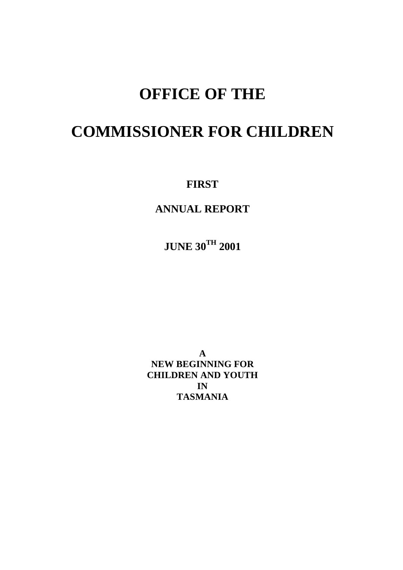## **OFFICE OF THE**

## **COMMISSIONER FOR CHILDREN**

**FIRST**

**ANNUAL REPORT**

**JUNE 30TH 2001**

**A NEW BEGINNING FOR CHILDREN AND YOUTH IN TASMANIA**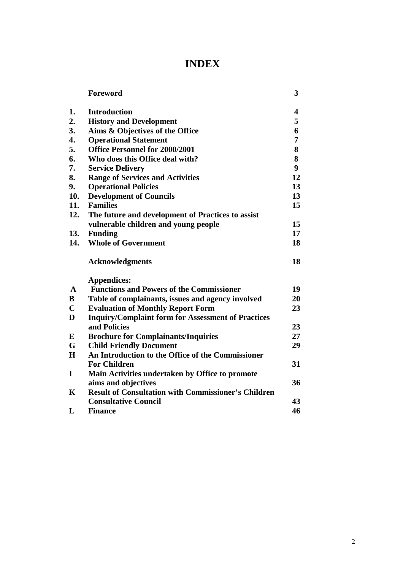## **INDEX**

|              | Foreword                                                   | 3  |
|--------------|------------------------------------------------------------|----|
| 1.           | <b>Introduction</b>                                        | 4  |
| 2.           | <b>History and Development</b>                             | 5  |
| 3.           | Aims & Objectives of the Office                            | 6  |
| 4.           | <b>Operational Statement</b>                               | 7  |
| 5.           | <b>Office Personnel for 2000/2001</b>                      | 8  |
| 6.           | Who does this Office deal with?                            | 8  |
| 7.           | <b>Service Delivery</b>                                    | 9  |
| 8.           | <b>Range of Services and Activities</b>                    | 12 |
| 9.           | <b>Operational Policies</b>                                | 13 |
| 10.          | <b>Development of Councils</b>                             | 13 |
| 11.          | <b>Families</b>                                            | 15 |
| 12.          | The future and development of Practices to assist          |    |
|              | vulnerable children and young people                       | 15 |
| 13.          | <b>Funding</b>                                             | 17 |
| 14.          | <b>Whole of Government</b>                                 | 18 |
|              | <b>Acknowledgments</b>                                     | 18 |
|              | Appendices:                                                |    |
| $\mathbf{A}$ | <b>Functions and Powers of the Commissioner</b>            | 19 |
| $\bf{B}$     | Table of complainants, issues and agency involved          | 20 |
| $\mathbf C$  | <b>Evaluation of Monthly Report Form</b>                   | 23 |
| D            | <b>Inquiry/Complaint form for Assessment of Practices</b>  |    |
|              | and Policies                                               | 23 |
| E            | <b>Brochure for Complainants/Inquiries</b>                 | 27 |
| G            | <b>Child Friendly Document</b>                             | 29 |
| H            | An Introduction to the Office of the Commissioner          |    |
|              | <b>For Children</b>                                        | 31 |
| I            | Main Activities undertaken by Office to promote            |    |
|              | aims and objectives                                        | 36 |
| $\mathbf K$  | <b>Result of Consultation with Commissioner's Children</b> |    |
|              | <b>Consultative Council</b>                                | 43 |
| L            | <b>Finance</b>                                             | 46 |
|              |                                                            |    |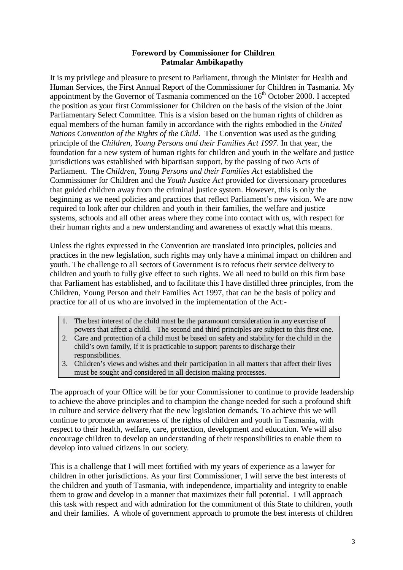#### **Foreword by Commissioner for Children Patmalar Ambikapathy**

It is my privilege and pleasure to present to Parliament, through the Minister for Health and Human Services, the First Annual Report of the Commissioner for Children in Tasmania. My appointment by the Governor of Tasmania commenced on the  $16<sup>th</sup>$  October 2000. I accepted the position as your first Commissioner for Children on the basis of the vision of the Joint Parliamentary Select Committee. This is a vision based on the human rights of children as equal members of the human family in accordance with the rights embodied in the *United Nations Convention of the Rights of the Child*. The Convention was used as the guiding principle of the *Children, Young Persons and their Families Act 1997*. In that year, the foundation for a new system of human rights for children and youth in the welfare and justice jurisdictions was established with bipartisan support, by the passing of two Acts of Parliament. The *Children, Young Persons and their Families Act* established the Commissioner for Children and the *Youth Justice Act* provided for diversionary procedures that guided children away from the criminal justice system. However, this is only the beginning as we need policies and practices that reflect Parliament's new vision. We are now required to look after our children and youth in their families, the welfare and justice systems, schools and all other areas where they come into contact with us, with respect for their human rights and a new understanding and awareness of exactly what this means.

Unless the rights expressed in the Convention are translated into principles, policies and practices in the new legislation, such rights may only have a minimal impact on children and youth. The challenge to all sectors of Government is to refocus their service delivery to children and youth to fully give effect to such rights. We all need to build on this firm base that Parliament has established, and to facilitate this I have distilled three principles, from the Children, Young Person and their Families Act 1997, that can be the basis of policy and practice for all of us who are involved in the implementation of the Act:-

- 1. The best interest of the child must be the paramount consideration in any exercise of powers that affect a child. The second and third principles are subject to this first one.
- 2. Care and protection of a child must be based on safety and stability for the child in the child's own family, if it is practicable to support parents to discharge their responsibilities.
- 3. Children's views and wishes and their participation in all matters that affect their lives must be sought and considered in all decision making processes.

The approach of your Office will be for your Commissioner to continue to provide leadership to achieve the above principles and to champion the change needed for such a profound shift in culture and service delivery that the new legislation demands. To achieve this we will continue to promote an awareness of the rights of children and youth in Tasmania, with respect to their health, welfare, care, protection, development and education. We will also encourage children to develop an understanding of their responsibilities to enable them to develop into valued citizens in our society.

This is a challenge that I will meet fortified with my years of experience as a lawyer for children in other jurisdictions. As your first Commissioner, I will serve the best interests of the children and youth of Tasmania, with independence, impartiality and integrity to enable them to grow and develop in a manner that maximizes their full potential. I will approach this task with respect and with admiration for the commitment of this State to children, youth and their families. A whole of government approach to promote the best interests of children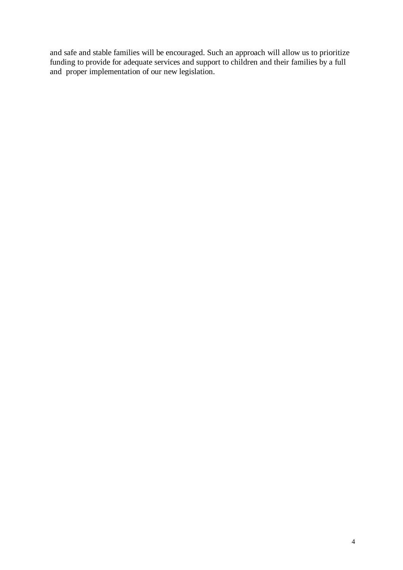and safe and stable families will be encouraged. Such an approach will allow us to prioritize funding to provide for adequate services and support to children and their families by a full and proper implementation of our new legislation.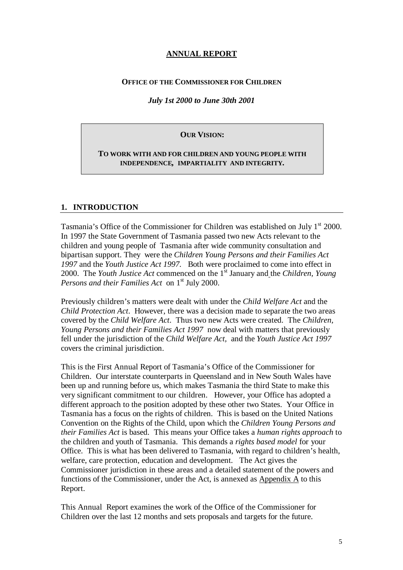## **ANNUAL REPORT**

#### **OFFICE OF THE COMMISSIONER FOR CHILDREN**

#### *July 1st 2000 to June 30th 2001*

#### **OUR VISION:**

#### **TO WORK WITH AND FOR CHILDREN AND YOUNG PEOPLE WITH INDEPENDENCE, IMPARTIALITY AND INTEGRITY.**

#### **1. INTRODUCTION**

Tasmania's Office of the Commissioner for Children was established on July  $1<sup>st</sup>$  2000. In 1997 the State Government of Tasmania passed two new Acts relevant to the children and young people of Tasmania after wide community consultation and bipartisan support. They were the *Children Young Persons and their Families Act 1997* and the *Youth Justice Act 1997.* Both were proclaimed to come into effect in 2000. The *Youth Justice Act* commenced on the 1<sup>st</sup> January and the *Children, Young Persons and their Families Act* on 1<sup>st</sup> July 2000.

Previously children's matters were dealt with under the *Child Welfare Act* and the *Child Protection Act*. However, there was a decision made to separate the two areas covered by the *Child Welfare Act*. Thus two new Acts were created. The *Children, Young Persons and their Families Act 1997* now deal with matters that previously fell under the jurisdiction of the *Child Welfare Act,* and the *Youth Justice Act 1997* covers the criminal jurisdiction.

This is the First Annual Report of Tasmania's Office of the Commissioner for Children. Our interstate counterparts in Queensland and in New South Wales have been up and running before us, which makes Tasmania the third State to make this very significant commitment to our children. However, your Office has adopted a different approach to the position adopted by these other two States. Your Office in Tasmania has a focus on the rights of children. This is based on the United Nations Convention on the Rights of the Child, upon which the *Children Young Persons and their Families Act* is based. This means your Office takes a *human rights approach* to the children and youth of Tasmania. This demands a *rights based model* for your Office. This is what has been delivered to Tasmania, with regard to children's health, welfare, care protection, education and development. The Act gives the Commissioner jurisdiction in these areas and a detailed statement of the powers and functions of the Commissioner, under the Act, is annexed as  $\Delta p$  and  $\Delta p$  to this Report.

This Annual Report examines the work of the Office of the Commissioner for Children over the last 12 months and sets proposals and targets for the future.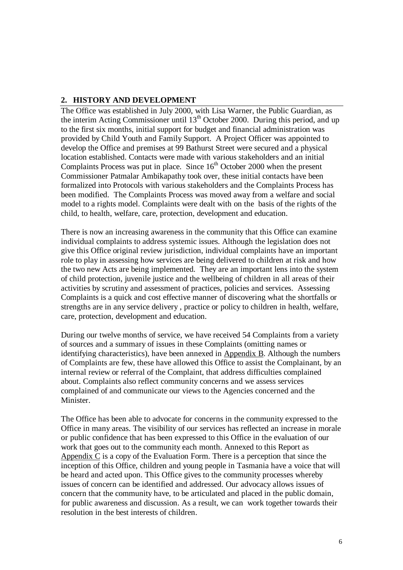## **2. HISTORY AND DEVELOPMENT**

The Office was established in July 2000, with Lisa Warner, the Public Guardian, as the interim Acting Commissioner until  $13<sup>th</sup>$  October 2000. During this period, and up to the first six months, initial support for budget and financial administration was provided by Child Youth and Family Support. A Project Officer was appointed to develop the Office and premises at 99 Bathurst Street were secured and a physical location established. Contacts were made with various stakeholders and an initial Complaints Process was put in place. Since  $16<sup>th</sup>$  October 2000 when the present Commissioner Patmalar Ambikapathy took over, these initial contacts have been formalized into Protocols with various stakeholders and the Complaints Process has been modified. The Complaints Process was moved away from a welfare and social model to a rights model. Complaints were dealt with on the basis of the rights of the child, to health, welfare, care, protection, development and education.

There is now an increasing awareness in the community that this Office can examine individual complaints to address systemic issues. Although the legislation does not give this Office original review jurisdiction, individual complaints have an important role to play in assessing how services are being delivered to children at risk and how the two new Acts are being implemented. They are an important lens into the system of child protection, juvenile justice and the wellbeing of children in all areas of their activities by scrutiny and assessment of practices, policies and services. Assessing Complaints is a quick and cost effective manner of discovering what the shortfalls or strengths are in any service delivery , practice or policy to children in health, welfare, care, protection, development and education.

During our twelve months of service, we have received 54 Complaints from a variety of sources and a summary of issues in these Complaints (omitting names or identifying characteristics), have been annexed in Appendix B. Although the numbers of Complaints are few, these have allowed this Office to assist the Complainant, by an internal review or referral of the Complaint, that address difficulties complained about. Complaints also reflect community concerns and we assess services complained of and communicate our views to the Agencies concerned and the Minister.

The Office has been able to advocate for concerns in the community expressed to the Office in many areas. The visibility of our services has reflected an increase in morale or public confidence that has been expressed to this Office in the evaluation of our work that goes out to the community each month. Annexed to this Report as Appendix C is a copy of the Evaluation Form. There is a perception that since the inception of this Office, children and young people in Tasmania have a voice that will be heard and acted upon. This Office gives to the community processes whereby issues of concern can be identified and addressed. Our advocacy allows issues of concern that the community have, to be articulated and placed in the public domain, for public awareness and discussion. As a result, we can work together towards their resolution in the best interests of children.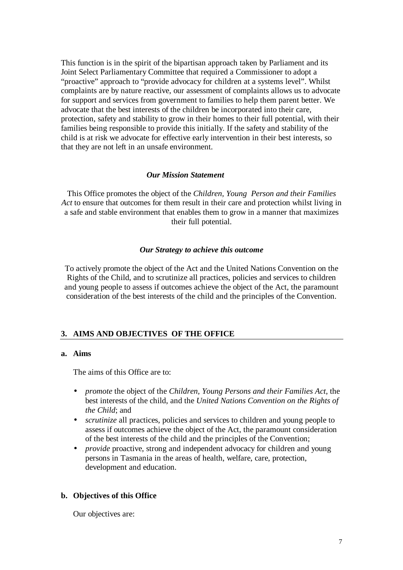This function is in the spirit of the bipartisan approach taken by Parliament and its Joint Select Parliamentary Committee that required a Commissioner to adopt a "proactive" approach to "provide advocacy for children at a systems level". Whilst complaints are by nature reactive, our assessment of complaints allows us to advocate for support and services from government to families to help them parent better. We advocate that the best interests of the children be incorporated into their care, protection, safety and stability to grow in their homes to their full potential, with their families being responsible to provide this initially. If the safety and stability of the child is at risk we advocate for effective early intervention in their best interests, so that they are not left in an unsafe environment.

#### *Our Mission Statement*

This Office promotes the object of the *Children, Young Person and their Families Act* to ensure that outcomes for them result in their care and protection whilst living in a safe and stable environment that enables them to grow in a manner that maximizes their full potential.

#### *Our Strategy to achieve this outcome*

To actively promote the object of the Act and the United Nations Convention on the Rights of the Child, and to scrutinize all practices, policies and services to children and young people to assess if outcomes achieve the object of the Act, the paramount consideration of the best interests of the child and the principles of the Convention.

#### **3. AIMS AND OBJECTIVES OF THE OFFICE**

#### **a. Aims**

The aims of this Office are to:

- *promote* the object of the *Children, Young Persons and their Families Act*, the best interests of the child, and the *United Nations Convention on the Rights of the Child*; and
- *scrutinize* all practices, policies and services to children and young people to assess if outcomes achieve the object of the Act, the paramount consideration of the best interests of the child and the principles of the Convention;
- *provide* proactive, strong and independent advocacy for children and young persons in Tasmania in the areas of health, welfare, care, protection, development and education.

#### **b. Objectives of this Office**

Our objectives are: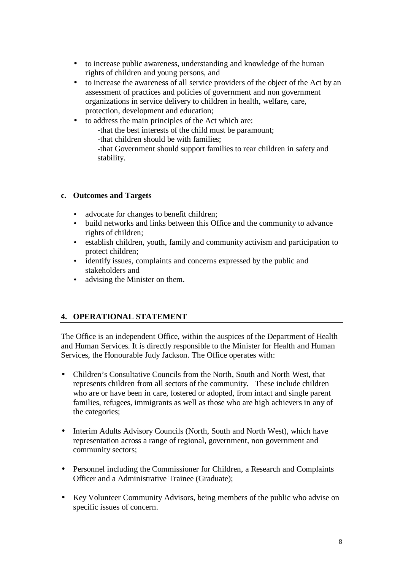- to increase public awareness, understanding and knowledge of the human rights of children and young persons, and
- to increase the awareness of all service providers of the object of the Act by an assessment of practices and policies of government and non government organizations in service delivery to children in health, welfare, care, protection, development and education;
- to address the main principles of the Act which are:
	- -that the best interests of the child must be paramount; -that children should be with families;
	- -that Government should support families to rear children in safety and stability.

## **c. Outcomes and Targets**

- advocate for changes to benefit children;
- build networks and links between this Office and the community to advance rights of children;
- establish children, youth, family and community activism and participation to protect children;
- identify issues, complaints and concerns expressed by the public and stakeholders and
- advising the Minister on them.

## **4. OPERATIONAL STATEMENT**

The Office is an independent Office, within the auspices of the Department of Health and Human Services. It is directly responsible to the Minister for Health and Human Services, the Honourable Judy Jackson. The Office operates with:

- Children's Consultative Councils from the North, South and North West, that represents children from all sectors of the community. These include children who are or have been in care, fostered or adopted, from intact and single parent families, refugees, immigrants as well as those who are high achievers in any of the categories;
- Interim Adults Advisory Councils (North, South and North West), which have representation across a range of regional, government, non government and community sectors;
- Personnel including the Commissioner for Children, a Research and Complaints Officer and a Administrative Trainee (Graduate);
- Key Volunteer Community Advisors, being members of the public who advise on specific issues of concern.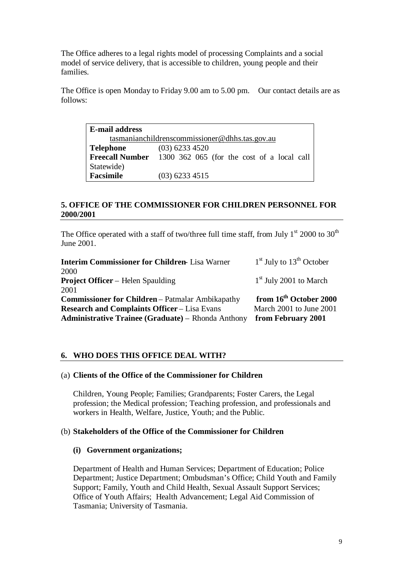The Office adheres to a legal rights model of processing Complaints and a social model of service delivery, that is accessible to children, young people and their families.

The Office is open Monday to Friday 9.00 am to 5.00 pm. Our contact details are as follows:

**E-mail address** tasmanianchildrenscommissioner@dhhs.tas.gov.au **Telephone** (03) 6233 4520 **Freecall Number** 1300 362 065 (for the cost of a local call Statewide) **Facsimile** (03) 6233 4515

## **5. OFFICE OF THE COMMISSIONER FOR CHILDREN PERSONNEL FOR 2000/2001**

The Office operated with a staff of two/three full time staff, from July  $1^{st}$  2000 to 30<sup>th</sup> June 2001.

| <b>Interim Commissioner for Children-Lisa Warner</b>    | $1st$ July to $13th$ October       |
|---------------------------------------------------------|------------------------------------|
| 2000                                                    |                                    |
| <b>Project Officer</b> – Helen Spaulding                | $1st$ July 2001 to March           |
| 2001                                                    |                                    |
| <b>Commissioner for Children</b> – Patmalar Ambikapathy | from 16 <sup>th</sup> October 2000 |
|                                                         |                                    |
| <b>Research and Complaints Officer – Lisa Evans</b>     | March 2001 to June 2001            |

#### **6. WHO DOES THIS OFFICE DEAL WITH?**

#### (a) **Clients of the Office of the Commissioner for Children**

Children, Young People; Families; Grandparents; Foster Carers, the Legal profession; the Medical profession; Teaching profession, and professionals and workers in Health, Welfare, Justice, Youth; and the Public.

#### (b) **Stakeholders of the Office of the Commissioner for Children**

#### **(i) Government organizations;**

Department of Health and Human Services; Department of Education; Police Department; Justice Department; Ombudsman's Office; Child Youth and Family Support; Family, Youth and Child Health, Sexual Assault Support Services; Office of Youth Affairs; Health Advancement; Legal Aid Commission of Tasmania; University of Tasmania.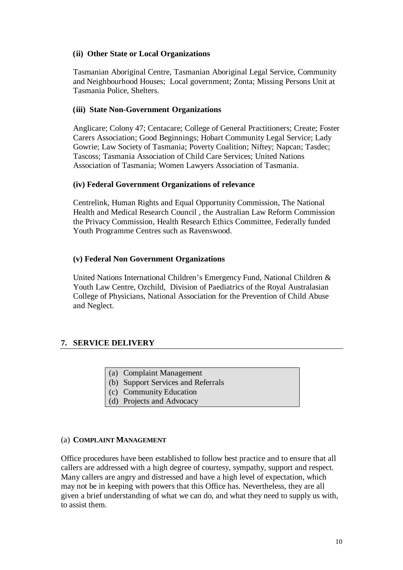#### **(ii) Other State or Local Organizations**

Tasmanian Aboriginal Centre, Tasmanian Aboriginal Legal Service, Community and Neighbourhood Houses; Local government; Zonta; Missing Persons Unit at Tasmania Police, Shelters.

#### **(iii) State Non-Government Organizations**

Anglicare; Colony 47; Centacare; College of General Practitioners; Create; Foster Carers Association; Good Beginnings; Hobart Community Legal Service; Lady Gowrie; Law Society of Tasmania; Poverty Coalition; Niftey; Napcan; Tasdec; Tascoss; Tasmania Association of Child Care Services; United Nations Association of Tasmania; Women Lawyers Association of Tasmania.

#### **(iv) Federal Government Organizations of relevance**

Centrelink, Human Rights and Equal Opportunity Commission, The National Health and Medical Research Council , the Australian Law Reform Commission the Privacy Commission, Health Research Ethics Committee, Federally funded Youth Programme Centres such as Ravenswood.

#### **(v) Federal Non Government Organizations**

United Nations International Children's Emergency Fund, National Children & Youth Law Centre, Ozchild, Division of Paediatrics of the Royal Australasian College of Physicians, National Association for the Prevention of Child Abuse and Neglect.

## **7. SERVICE DELIVERY**

- (a) Complaint Management
- (b) Support Services and Referrals
- (c) Community Education
- (d) Projects and Advocacy

#### (a) **COMPLAINT MANAGEMENT**

Office procedures have been established to follow best practice and to ensure that all callers are addressed with a high degree of courtesy, sympathy, support and respect. Many callers are angry and distressed and have a high level of expectation, which may not be in keeping with powers that this Office has. Nevertheless, they are all given a brief understanding of what we can do, and what they need to supply us with, to assist them.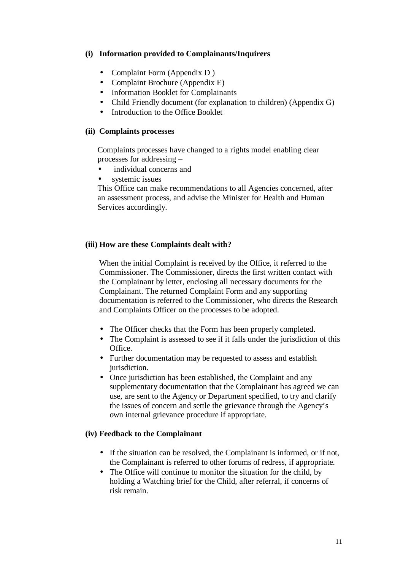## **(i) Information provided to Complainants/Inquirers**

- Complaint Form (Appendix D)
- Complaint Brochure (Appendix E)
- Information Booklet for Complainants
- Child Friendly document (for explanation to children) (Appendix G)
- Introduction to the Office Booklet

#### **(ii) Complaints processes**

Complaints processes have changed to a rights model enabling clear processes for addressing –

- individual concerns and
- systemic issues

This Office can make recommendations to all Agencies concerned, after an assessment process, and advise the Minister for Health and Human Services accordingly.

#### **(iii) How are these Complaints dealt with?**

When the initial Complaint is received by the Office, it referred to the Commissioner. The Commissioner, directs the first written contact with the Complainant by letter, enclosing all necessary documents for the Complainant. The returned Complaint Form and any supporting documentation is referred to the Commissioner, who directs the Research and Complaints Officer on the processes to be adopted.

- The Officer checks that the Form has been properly completed.
- The Complaint is assessed to see if it falls under the jurisdiction of this Office.
- Further documentation may be requested to assess and establish jurisdiction.
- Once jurisdiction has been established, the Complaint and any supplementary documentation that the Complainant has agreed we can use, are sent to the Agency or Department specified, to try and clarify the issues of concern and settle the grievance through the Agency's own internal grievance procedure if appropriate.

#### **(iv) Feedback to the Complainant**

- If the situation can be resolved, the Complainant is informed, or if not, the Complainant is referred to other forums of redress, if appropriate.
- The Office will continue to monitor the situation for the child, by holding a Watching brief for the Child, after referral, if concerns of risk remain.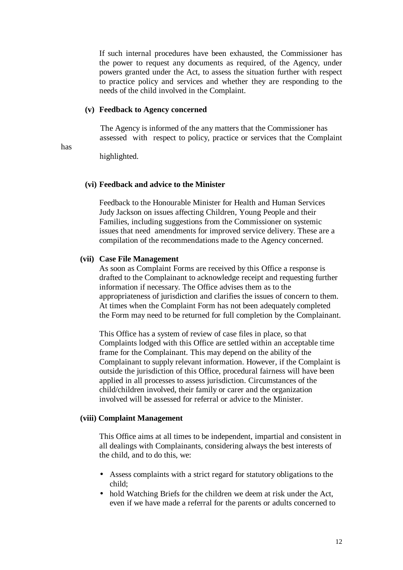If such internal procedures have been exhausted, the Commissioner has the power to request any documents as required, of the Agency, under powers granted under the Act, to assess the situation further with respect to practice policy and services and whether they are responding to the needs of the child involved in the Complaint.

#### **(v) Feedback to Agency concerned**

 The Agency is informed of the any matters that the Commissioner has assessed with respect to policy, practice or services that the Complaint

has

highlighted.

#### **(vi) Feedback and advice to the Minister**

Feedback to the Honourable Minister for Health and Human Services Judy Jackson on issues affecting Children, Young People and their Families, including suggestions from the Commissioner on systemic issues that need amendments for improved service delivery. These are a compilation of the recommendations made to the Agency concerned.

#### **(vii) Case File Management**

As soon as Complaint Forms are received by this Office a response is drafted to the Complainant to acknowledge receipt and requesting further information if necessary. The Office advises them as to the appropriateness of jurisdiction and clarifies the issues of concern to them. At times when the Complaint Form has not been adequately completed the Form may need to be returned for full completion by the Complainant.

This Office has a system of review of case files in place, so that Complaints lodged with this Office are settled within an acceptable time frame for the Complainant. This may depend on the ability of the Complainant to supply relevant information. However, if the Complaint is outside the jurisdiction of this Office, procedural fairness will have been applied in all processes to assess jurisdiction. Circumstances of the child/children involved, their family or carer and the organization involved will be assessed for referral or advice to the Minister.

#### **(viii) Complaint Management**

This Office aims at all times to be independent, impartial and consistent in all dealings with Complainants, considering always the best interests of the child, and to do this, we:

- Assess complaints with a strict regard for statutory obligations to the child;
- hold Watching Briefs for the children we deem at risk under the Act, even if we have made a referral for the parents or adults concerned to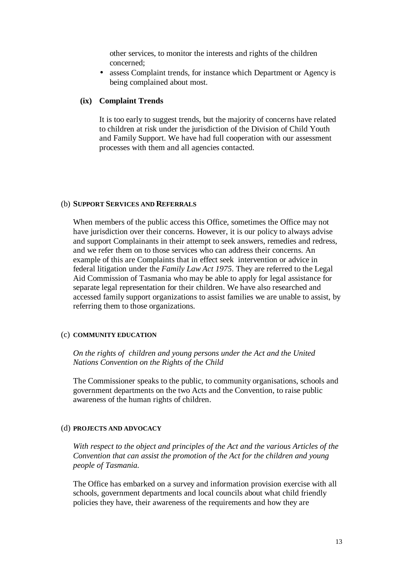other services, to monitor the interests and rights of the children concerned;

• assess Complaint trends, for instance which Department or Agency is being complained about most.

#### **(ix) Complaint Trends**

It is too early to suggest trends, but the majority of concerns have related to children at risk under the jurisdiction of the Division of Child Youth and Family Support. We have had full cooperation with our assessment processes with them and all agencies contacted.

#### (b) **SUPPORT SERVICES AND REFERRALS**

When members of the public access this Office, sometimes the Office may not have jurisdiction over their concerns. However, it is our policy to always advise and support Complainants in their attempt to seek answers, remedies and redress, and we refer them on to those services who can address their concerns. An example of this are Complaints that in effect seek intervention or advice in federal litigation under the *Family Law Act 1975*. They are referred to the Legal Aid Commission of Tasmania who may be able to apply for legal assistance for separate legal representation for their children. We have also researched and accessed family support organizations to assist families we are unable to assist, by referring them to those organizations.

#### (c) **COMMUNITY EDUCATION**

*On the rights of children and young persons under the Act and the United Nations Convention on the Rights of the Child*

The Commissioner speaks to the public, to community organisations, schools and government departments on the two Acts and the Convention, to raise public awareness of the human rights of children.

#### (d) **PROJECTS AND ADVOCACY**

*With respect to the object and principles of the Act and the various Articles of the Convention that can assist the promotion of the Act for the children and young people of Tasmania.*

The Office has embarked on a survey and information provision exercise with all schools, government departments and local councils about what child friendly policies they have, their awareness of the requirements and how they are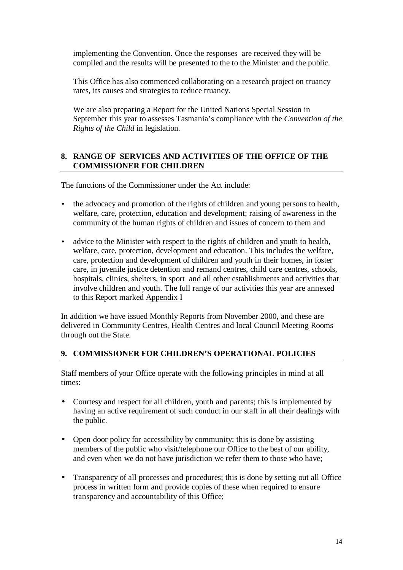implementing the Convention. Once the responses are received they will be compiled and the results will be presented to the to the Minister and the public.

This Office has also commenced collaborating on a research project on truancy rates, its causes and strategies to reduce truancy.

We are also preparing a Report for the United Nations Special Session in September this year to assesses Tasmania's compliance with the *Convention of the Rights of the Child* in legislation*.*

## **8. RANGE OF SERVICES AND ACTIVITIES OF THE OFFICE OF THE COMMISSIONER FOR CHILDREN**

The functions of the Commissioner under the Act include:

- the advocacy and promotion of the rights of children and young persons to health, welfare, care, protection, education and development; raising of awareness in the community of the human rights of children and issues of concern to them and
- advice to the Minister with respect to the rights of children and youth to health, welfare, care, protection, development and education. This includes the welfare, care, protection and development of children and youth in their homes, in foster care, in juvenile justice detention and remand centres, child care centres, schools, hospitals, clinics, shelters, in sport and all other establishments and activities that involve children and youth. The full range of our activities this year are annexed to this Report marked Appendix I

In addition we have issued Monthly Reports from November 2000, and these are delivered in Community Centres, Health Centres and local Council Meeting Rooms through out the State.

## **9. COMMISSIONER FOR CHILDREN'S OPERATIONAL POLICIES**

Staff members of your Office operate with the following principles in mind at all times:

- Courtesy and respect for all children, youth and parents; this is implemented by having an active requirement of such conduct in our staff in all their dealings with the public.
- Open door policy for accessibility by community; this is done by assisting members of the public who visit/telephone our Office to the best of our ability, and even when we do not have jurisdiction we refer them to those who have;
- Transparency of all processes and procedures; this is done by setting out all Office process in written form and provide copies of these when required to ensure transparency and accountability of this Office;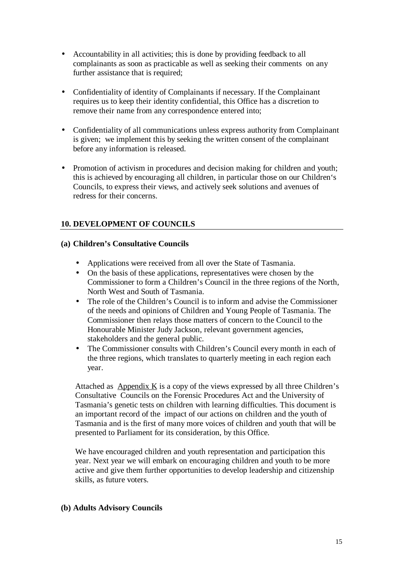- Accountability in all activities; this is done by providing feedback to all complainants as soon as practicable as well as seeking their comments on any further assistance that is required;
- Confidentiality of identity of Complainants if necessary. If the Complainant requires us to keep their identity confidential, this Office has a discretion to remove their name from any correspondence entered into;
- Confidentiality of all communications unless express authority from Complainant is given; we implement this by seeking the written consent of the complainant before any information is released.
- Promotion of activism in procedures and decision making for children and youth; this is achieved by encouraging all children, in particular those on our Children's Councils, to express their views, and actively seek solutions and avenues of redress for their concerns.

## **10. DEVELOPMENT OF COUNCILS**

#### **(a) Children's Consultative Councils**

- Applications were received from all over the State of Tasmania.
- On the basis of these applications, representatives were chosen by the Commissioner to form a Children's Council in the three regions of the North, North West and South of Tasmania.
- The role of the Children's Council is to inform and advise the Commissioner of the needs and opinions of Children and Young People of Tasmania. The Commissioner then relays those matters of concern to the Council to the Honourable Minister Judy Jackson, relevant government agencies, stakeholders and the general public.
- The Commissioner consults with Children's Council every month in each of the three regions, which translates to quarterly meeting in each region each year.

Attached as Appendix K is a copy of the views expressed by all three Children's Consultative Councils on the Forensic Procedures Act and the University of Tasmania's genetic tests on children with learning difficulties. This document is an important record of the impact of our actions on children and the youth of Tasmania and is the first of many more voices of children and youth that will be presented to Parliament for its consideration, by this Office.

We have encouraged children and youth representation and participation this year. Next year we will embark on encouraging children and youth to be more active and give them further opportunities to develop leadership and citizenship skills, as future voters.

#### **(b) Adults Advisory Councils**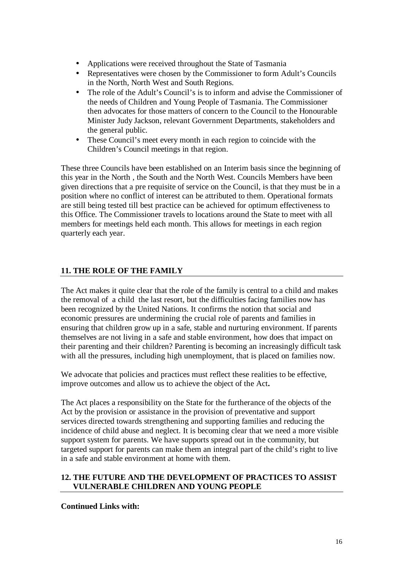- Applications were received throughout the State of Tasmania
- Representatives were chosen by the Commissioner to form Adult's Councils in the North, North West and South Regions.
- The role of the Adult's Council's is to inform and advise the Commissioner of the needs of Children and Young People of Tasmania. The Commissioner then advocates for those matters of concern to the Council to the Honourable Minister Judy Jackson, relevant Government Departments, stakeholders and the general public.
- These Council's meet every month in each region to coincide with the Children's Council meetings in that region.

These three Councils have been established on an Interim basis since the beginning of this year in the North , the South and the North West. Councils Members have been given directions that a pre requisite of service on the Council, is that they must be in a position where no conflict of interest can be attributed to them. Operational formats are still being tested till best practice can be achieved for optimum effectiveness to this Office. The Commissioner travels to locations around the State to meet with all members for meetings held each month. This allows for meetings in each region quarterly each year.

## **11. THE ROLE OF THE FAMILY**

The Act makes it quite clear that the role of the family is central to a child and makes the removal of a child the last resort, but the difficulties facing families now has been recognized by the United Nations. It confirms the notion that social and economic pressures are undermining the crucial role of parents and families in ensuring that children grow up in a safe, stable and nurturing environment. If parents themselves are not living in a safe and stable environment, how does that impact on their parenting and their children? Parenting is becoming an increasingly difficult task with all the pressures, including high unemployment, that is placed on families now.

We advocate that policies and practices must reflect these realities to be effective, improve outcomes and allow us to achieve the object of the Act**.**

The Act places a responsibility on the State for the furtherance of the objects of the Act by the provision or assistance in the provision of preventative and support services directed towards strengthening and supporting families and reducing the incidence of child abuse and neglect. It is becoming clear that we need a more visible support system for parents. We have supports spread out in the community, but targeted support for parents can make them an integral part of the child's right to live in a safe and stable environment at home with them.

#### **12. THE FUTURE AND THE DEVELOPMENT OF PRACTICES TO ASSIST VULNERABLE CHILDREN AND YOUNG PEOPLE**

## **Continued Links with:**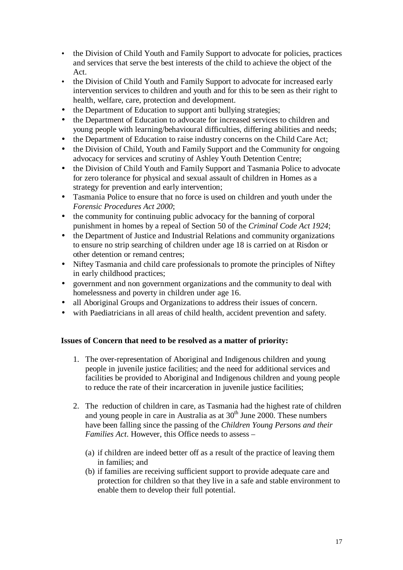- the Division of Child Youth and Family Support to advocate for policies, practices and services that serve the best interests of the child to achieve the object of the Act.
- the Division of Child Youth and Family Support to advocate for increased early intervention services to children and youth and for this to be seen as their right to health, welfare, care, protection and development.
- the Department of Education to support anti bullying strategies:
- the Department of Education to advocate for increased services to children and young people with learning/behavioural difficulties, differing abilities and needs;
- the Department of Education to raise industry concerns on the Child Care Act;
- the Division of Child, Youth and Family Support and the Community for ongoing advocacy for services and scrutiny of Ashley Youth Detention Centre;
- the Division of Child Youth and Family Support and Tasmania Police to advocate for zero tolerance for physical and sexual assault of children in Homes as a strategy for prevention and early intervention;
- Tasmania Police to ensure that no force is used on children and youth under the *Forensic Procedures Act 2000*;
- the community for continuing public advocacy for the banning of corporal punishment in homes by a repeal of Section 50 of the *Criminal Code Act 1924*;
- the Department of Justice and Industrial Relations and community organizations to ensure no strip searching of children under age 18 is carried on at Risdon or other detention or remand centres;
- Niftey Tasmania and child care professionals to promote the principles of Niftey in early childhood practices;
- government and non government organizations and the community to deal with homelessness and poverty in children under age 16.
- all Aboriginal Groups and Organizations to address their issues of concern.
- with Paediatricians in all areas of child health, accident prevention and safety.

#### **Issues of Concern that need to be resolved as a matter of priority:**

- 1. The over-representation of Aboriginal and Indigenous children and young people in juvenile justice facilities; and the need for additional services and facilities be provided to Aboriginal and Indigenous children and young people to reduce the rate of their incarceration in juvenile justice facilities;
- 2. The reduction of children in care, as Tasmania had the highest rate of children and young people in care in Australia as at 30<sup>th</sup> June 2000. These numbers have been falling since the passing of the *Children Young Persons and their Families Act*. However, this Office needs to assess –
	- (a) if children are indeed better off as a result of the practice of leaving them in families; and
	- (b) if families are receiving sufficient support to provide adequate care and protection for children so that they live in a safe and stable environment to enable them to develop their full potential.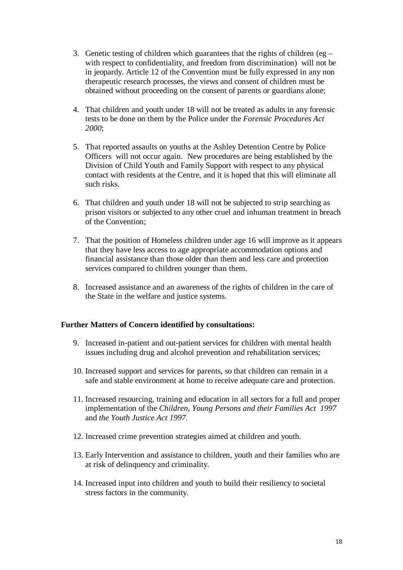- 3. Genetic testing of children which guarantees that the rights of children (eg with respect to confidentiality, and freedom from discrimination) will not be in jeopardy. Article 12 of the Convention must be fully expressed in any non therapeutic research processes, the views and consent of children must be obtained without proceeding on the consent of parents or guardians alone;
- 4. That children and youth under 18 will not be treated as adults in any forensic tests to be done on them by the Police under the *Forensic Procedures Act 2000*;
- 5. That reported assaults on youths at the Ashley Detention Centre by Police Officers will not occur again. New procedures are being established by the Division of Child Youth and Family Support with respect to any physical contact with residents at the Centre, and it is hoped that this will eliminate all such risks.
- 6. That children and youth under 18 will not be subjected to strip searching as prison visitors or subjected to any other cruel and inhuman treatment in breach of the Convention;
- 7. That the position of Homeless children under age 16 will improve as it appears that they have less access to age appropriate accommodation options and financial assistance than those older than them and less care and protection services compared to children younger than them.
- 8. Increased assistance and an awareness of the rights of children in the care of the State in the welfare and justice systems.

## **Further Matters of Concern identified by consultations:**

- 9. Increased in-patient and out-patient services for children with mental health issues including drug and alcohol prevention and rehabilitation services;
- 10. Increased support and services for parents, so that children can remain in a safe and stable environment at home to receive adequate care and protection.
- 11. Increased resourcing, training and education in all sectors for a full and proper implementation of the *Children, Young Persons and their Families Act 1997* and *the Youth Justice Act 1997.*
- 12. Increased crime prevention strategies aimed at children and youth.
- 13. Early Intervention and assistance to children, youth and their families who are at risk of delinquency and criminality.
- 14. Increased input into children and youth to build their resiliency to societal stress factors in the community.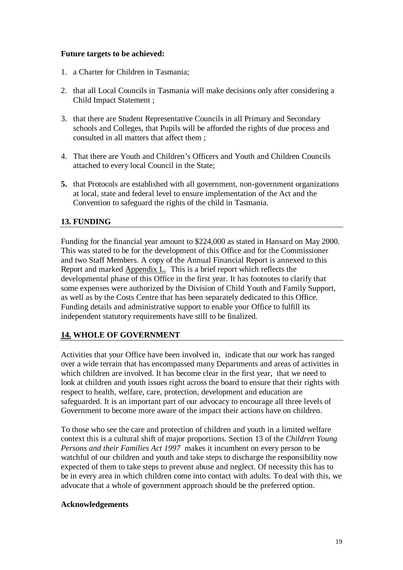## **Future targets to be achieved:**

- 1. a Charter for Children in Tasmania;
- 2. that all Local Councils in Tasmania will make decisions only after considering a Child Impact Statement ;
- 3. that there are Student Representative Councils in all Primary and Secondary schools and Colleges, that Pupils will be afforded the rights of due process and consulted in all matters that affect them ;
- 4. That there are Youth and Children's Officers and Youth and Children Councils attached to every local Council in the State;
- **5.** that Protocols are established with all government, non-government organizations at local, state and federal level to ensure implementation of the Act and the Convention to safeguard the rights of the child in Tasmania.

## **13. FUNDING**

Funding for the financial year amount to \$224,000 as stated in Hansard on May 2000. This was stated to be for the development of this Office and for the Commissioner and two Staff Members. A copy of the Annual Financial Report is annexed to this Report and marked Appendix L. This is a brief report which reflects the developmental phase of this Office in the first year. It has footnotes to clarify that some expenses were authorized by the Division of Child Youth and Family Support, as well as by the Costs Centre that has been separately dedicated to this Office. Funding details and administrative support to enable your Office to fulfill its independent statutory requirements have still to be finalized.

## **14. WHOLE OF GOVERNMENT**

Activities that your Office have been involved in, indicate that our work has ranged over a wide terrain that has encompassed many Departments and areas of activities in which children are involved. It has become clear in the first year, that we need to look at children and youth issues right across the board to ensure that their rights with respect to health, welfare, care, protection, development and education are safeguarded. It is an important part of our advocacy to encourage all three levels of Government to become more aware of the impact their actions have on children.

To those who see the care and protection of children and youth in a limited welfare context this is a cultural shift of major proportions. Section 13 of the *Children Young Persons and their Families Act 1997* makes it incumbent on every person to be watchful of our children and youth and take steps to discharge the responsibility now expected of them to take steps to prevent abuse and neglect. Of necessity this has to be in every area in which children come into contact with adults. To deal with this, we advocate that a whole of government approach should be the preferred option.

#### **Acknowledgements**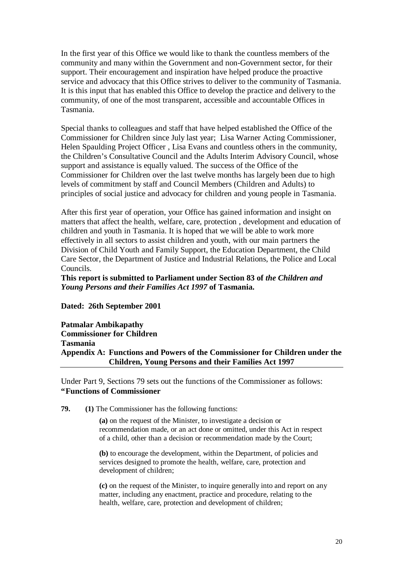In the first year of this Office we would like to thank the countless members of the community and many within the Government and non-Government sector, for their support. Their encouragement and inspiration have helped produce the proactive service and advocacy that this Office strives to deliver to the community of Tasmania. It is this input that has enabled this Office to develop the practice and delivery to the community, of one of the most transparent, accessible and accountable Offices in Tasmania.

Special thanks to colleagues and staff that have helped established the Office of the Commissioner for Children since July last year; Lisa Warner Acting Commissioner, Helen Spaulding Project Officer , Lisa Evans and countless others in the community, the Children's Consultative Council and the Adults Interim Advisory Council, whose support and assistance is equally valued. The success of the Office of the Commissioner for Children over the last twelve months has largely been due to high levels of commitment by staff and Council Members (Children and Adults) to principles of social justice and advocacy for children and young people in Tasmania.

After this first year of operation, your Office has gained information and insight on matters that affect the health, welfare, care, protection , development and education of children and youth in Tasmania. It is hoped that we will be able to work more effectively in all sectors to assist children and youth, with our main partners the Division of Child Youth and Family Support, the Education Department, the Child Care Sector, the Department of Justice and Industrial Relations, the Police and Local Councils.

**This report is submitted to Parliament under Section 83 of** *the Children and Young Persons and their Families Act 1997* **of Tasmania.**

#### **Dated: 26th September 2001**

#### **Patmalar Ambikapathy Commissioner for Children Tasmania Appendix A: Functions and Powers of the Commissioner for Children under the Children, Young Persons and their Families Act 1997**

Under Part 9, Sections 79 sets out the functions of the Commissioner as follows: **"Functions of Commissioner**

**79. (1)** The Commissioner has the following functions:

**(a)** on the request of the Minister, to investigate a decision or recommendation made, or an act done or omitted, under this Act in respect of a child, other than a decision or recommendation made by the Court;

**(b)** to encourage the development, within the Department, of policies and services designed to promote the health, welfare, care, protection and development of children;

**(c)** on the request of the Minister, to inquire generally into and report on any matter, including any enactment, practice and procedure, relating to the health, welfare, care, protection and development of children;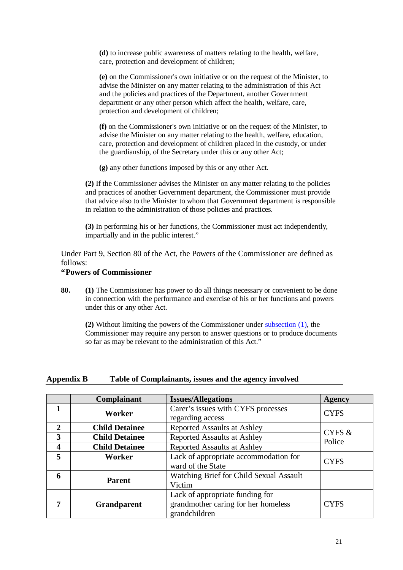**(d)** to increase public awareness of matters relating to the health, welfare, care, protection and development of children;

**(e)** on the Commissioner's own initiative or on the request of the Minister, to advise the Minister on any matter relating to the administration of this Act and the policies and practices of the Department, another Government department or any other person which affect the health, welfare, care, protection and development of children;

**(f)** on the Commissioner's own initiative or on the request of the Minister, to advise the Minister on any matter relating to the health, welfare, education, care, protection and development of children placed in the custody, or under the guardianship, of the Secretary under this or any other Act;

**(g)** any other functions imposed by this or any other Act.

**(2)** If the Commissioner advises the Minister on any matter relating to the policies and practices of another Government department, the Commissioner must provide that advice also to the Minister to whom that Government department is responsible in relation to the administration of those policies and practices.

**(3)** In performing his or her functions, the Commissioner must act independently, impartially and in the public interest."

Under Part 9, Section 80 of the Act, the Powers of the Commissioner are defined as follows:

#### **"Powers of Commissioner**

**80. (1)** The Commissioner has power to do all things necessary or convenient to be done in connection with the performance and exercise of his or her functions and powers under this or any other Act.

**(2)** Without limiting the powers of the Commissioner under subsection (1), the Commissioner may require any person to answer questions or to produce documents so far as may be relevant to the administration of this Act."

#### **Appendix B Table of Complainants, issues and the agency involved**

|                  | Complainant           | <b>Issues/Allegations</b>                                                               | <b>Agency</b> |  |
|------------------|-----------------------|-----------------------------------------------------------------------------------------|---------------|--|
|                  | Worker                | Carer's issues with CYFS processes<br>regarding access                                  | <b>CYFS</b>   |  |
| $\mathbf{2}$     | <b>Child Detainee</b> | <b>Reported Assaults at Ashley</b>                                                      | CYFS $\&$     |  |
| 3                | <b>Child Detainee</b> | <b>Reported Assaults at Ashley</b>                                                      | Police        |  |
| $\boldsymbol{4}$ | <b>Child Detainee</b> | <b>Reported Assaults at Ashley</b>                                                      |               |  |
| 5                | Worker                | Lack of appropriate accommodation for<br>ward of the State                              | <b>CYFS</b>   |  |
|                  |                       |                                                                                         |               |  |
| 6                | <b>Parent</b>         | Watching Brief for Child Sexual Assault<br>Victim                                       |               |  |
| 7                | <b>Grandparent</b>    | Lack of appropriate funding for<br>grandmother caring for her homeless<br>grandchildren | <b>CYFS</b>   |  |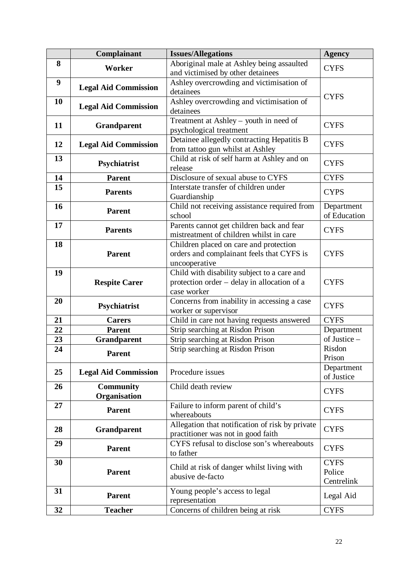|    | Complainant                      | <b>Issues/Allegations</b>                                                                                 | <b>Agency</b>                       |  |
|----|----------------------------------|-----------------------------------------------------------------------------------------------------------|-------------------------------------|--|
| 8  | Worker                           | Aboriginal male at Ashley being assaulted<br>and victimised by other detainees                            | <b>CYFS</b>                         |  |
| 9  | <b>Legal Aid Commission</b>      | Ashley overcrowding and victimisation of<br>detainees                                                     |                                     |  |
| 10 | <b>Legal Aid Commission</b>      | Ashley overcrowding and victimisation of<br>detainees                                                     | <b>CYFS</b>                         |  |
| 11 | <b>Grandparent</b>               | Treatment at Ashley - youth in need of<br>psychological treatment                                         | <b>CYFS</b>                         |  |
| 12 | <b>Legal Aid Commission</b>      | Detainee allegedly contracting Hepatitis B<br>from tattoo gun whilst at Ashley                            | <b>CYFS</b>                         |  |
| 13 | Psychiatrist                     | Child at risk of self harm at Ashley and on<br>release                                                    | <b>CYFS</b>                         |  |
| 14 | <b>Parent</b>                    | Disclosure of sexual abuse to CYFS                                                                        | <b>CYFS</b>                         |  |
| 15 | <b>Parents</b>                   | Interstate transfer of children under<br>Guardianship                                                     | <b>CYPS</b>                         |  |
| 16 | <b>Parent</b>                    | Child not receiving assistance required from<br>school                                                    | Department<br>of Education          |  |
| 17 | <b>Parents</b>                   | Parents cannot get children back and fear<br>mistreatment of children whilst in care                      | <b>CYFS</b>                         |  |
| 18 | <b>Parent</b>                    | Children placed on care and protection<br>orders and complainant feels that CYFS is<br>uncooperative      | <b>CYFS</b>                         |  |
| 19 | <b>Respite Carer</b>             | Child with disability subject to a care and<br>protection order – delay in allocation of a<br>case worker | <b>CYFS</b>                         |  |
| 20 | Psychiatrist                     | Concerns from inability in accessing a case<br>worker or supervisor                                       | <b>CYFS</b>                         |  |
| 21 | <b>Carers</b>                    | Child in care not having requests answered                                                                | <b>CYFS</b>                         |  |
| 22 | <b>Parent</b>                    | Strip searching at Risdon Prison                                                                          | Department                          |  |
| 23 | Grandparent                      | Strip searching at Risdon Prison                                                                          | of Justice -                        |  |
| 24 | <b>Parent</b>                    | Strip searching at Risdon Prison                                                                          | Risdon<br>Prison                    |  |
| 25 | <b>Legal Aid Commission</b>      | Procedure issues                                                                                          | Department<br>of Justice            |  |
| 26 | <b>Community</b><br>Organisation | Child death review                                                                                        | <b>CYFS</b>                         |  |
| 27 | <b>Parent</b>                    | Failure to inform parent of child's<br>whereabouts                                                        | <b>CYFS</b>                         |  |
| 28 | <b>Grandparent</b>               | Allegation that notification of risk by private<br>practitioner was not in good faith                     | <b>CYFS</b>                         |  |
| 29 | <b>Parent</b>                    | CYFS refusal to disclose son's whereabouts<br>to father                                                   | <b>CYFS</b>                         |  |
| 30 | <b>Parent</b>                    | Child at risk of danger whilst living with<br>abusive de-facto                                            | <b>CYFS</b><br>Police<br>Centrelink |  |
| 31 | <b>Parent</b>                    | Young people's access to legal<br>representation                                                          | Legal Aid                           |  |
| 32 | <b>Teacher</b>                   | Concerns of children being at risk                                                                        | <b>CYFS</b>                         |  |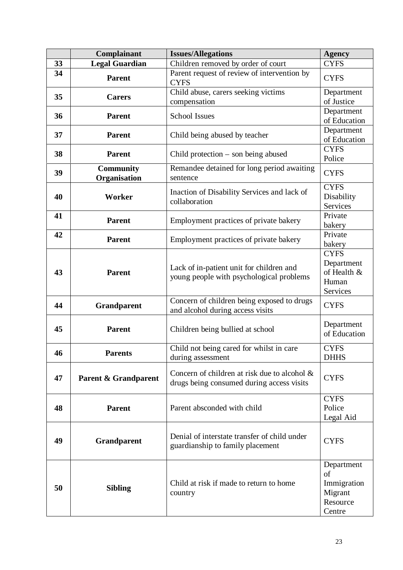|    | Complainant                      | <b>Issues/Allegations</b>                                                                    | <b>Agency</b>                                                    |
|----|----------------------------------|----------------------------------------------------------------------------------------------|------------------------------------------------------------------|
| 33 | <b>Legal Guardian</b>            | Children removed by order of court                                                           | <b>CYFS</b>                                                      |
| 34 | <b>Parent</b>                    | Parent request of review of intervention by<br><b>CYFS</b>                                   | <b>CYFS</b>                                                      |
| 35 | <b>Carers</b>                    | Child abuse, carers seeking victims                                                          | Department                                                       |
|    |                                  | compensation                                                                                 | of Justice                                                       |
| 36 | <b>Parent</b>                    | <b>School Issues</b>                                                                         | Department<br>of Education                                       |
| 37 | <b>Parent</b>                    | Child being abused by teacher                                                                | Department<br>of Education                                       |
| 38 | <b>Parent</b>                    | Child protection $-$ son being abused                                                        | <b>CYFS</b><br>Police                                            |
| 39 | <b>Community</b><br>Organisation | Remandee detained for long period awaiting<br>sentence                                       | <b>CYFS</b>                                                      |
| 40 | Worker                           | Inaction of Disability Services and lack of<br>collaboration                                 | <b>CYFS</b><br>Disability<br>Services                            |
| 41 | <b>Parent</b>                    | Employment practices of private bakery                                                       | Private<br>bakery                                                |
| 42 | <b>Parent</b>                    | Employment practices of private bakery                                                       | Private<br>bakery                                                |
| 43 | <b>Parent</b>                    | Lack of in-patient unit for children and<br>young people with psychological problems         | <b>CYFS</b><br>Department<br>of Health &<br>Human<br>Services    |
| 44 | <b>Grandparent</b>               | Concern of children being exposed to drugs<br>and alcohol during access visits               | <b>CYFS</b>                                                      |
| 45 | <b>Parent</b>                    | Children being bullied at school                                                             | Department<br>of Education                                       |
| 46 | <b>Parents</b>                   | Child not being cared for whilst in care<br>during assessment                                | <b>CYFS</b><br><b>DHHS</b>                                       |
| 47 | Parent & Grandparent             | Concern of children at risk due to alcohol $\&$<br>drugs being consumed during access visits | <b>CYFS</b>                                                      |
| 48 | <b>Parent</b>                    | Parent absconded with child                                                                  | <b>CYFS</b><br>Police<br>Legal Aid                               |
| 49 | <b>Grandparent</b>               | Denial of interstate transfer of child under<br>guardianship to family placement             | <b>CYFS</b>                                                      |
| 50 | <b>Sibling</b>                   | Child at risk if made to return to home<br>country                                           | Department<br>of<br>Immigration<br>Migrant<br>Resource<br>Centre |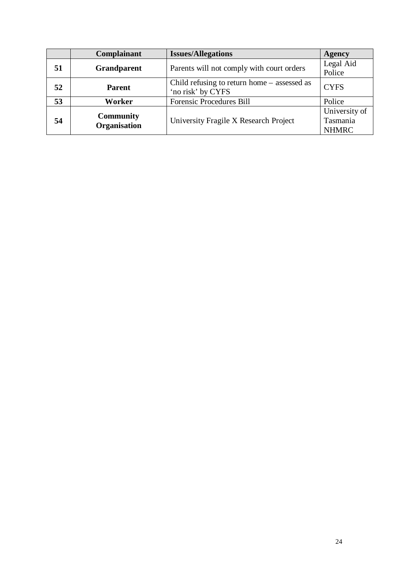|    | Complainant                      | <b>Issues/Allegations</b>                                          | <b>Agency</b>                             |
|----|----------------------------------|--------------------------------------------------------------------|-------------------------------------------|
| 51 | <b>Grandparent</b>               | Parents will not comply with court orders                          | Legal Aid<br>Police                       |
| 52 | <b>Parent</b>                    | Child refusing to return home $-$ assessed as<br>'no risk' by CYFS | <b>CYFS</b>                               |
| 53 | Worker                           | Forensic Procedures Bill                                           | Police                                    |
| 54 | <b>Community</b><br>Organisation | University Fragile X Research Project                              | University of<br>Tasmania<br><b>NHMRC</b> |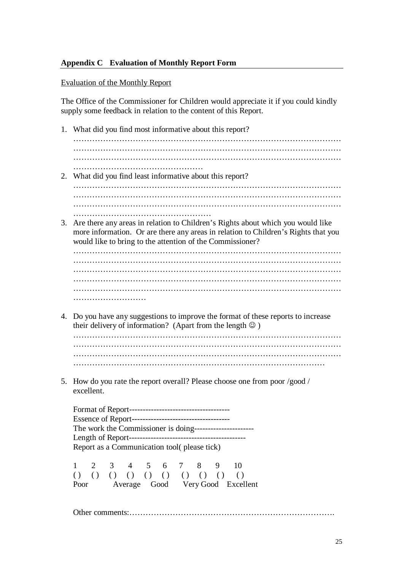### **Appendix C Evaluation of Monthly Report Form**

#### Evaluation of the Monthly Report

The Office of the Commissioner for Children would appreciate it if you could kindly supply some feedback in relation to the content of this Report.

1. What did you find most informative about this report?

……………………………………………………………………………………… ……………………………………………………………………………………… ………………………………………………………………………………………

- ……………………………………………………… 2. What did you find least informative about this report? ……………………………………………………………………………………… ……………………………………………………………………………………… ……………………………………………………………………………………… ……………………………………………
- 3. Are there any areas in relation to Children's Rights about which you would like more information. Or are there any areas in relation to Children's Rights that you would like to bring to the attention of the Commissioner?

……………………………………………………………………………………… ……………………………………………………………………………………… ……………………………………………………………………………………… ……………………………………………………………………………………… ……………………………………………………………………………………… ………………………

4. Do you have any suggestions to improve the format of these reports to increase their delivery of information? (Apart from the length  $\odot$ )

……………………………………………………………………………………… ……………………………………………………………………………………… …………………………………………………………………………………

5. How do you rate the report overall? Please choose one from poor /good / excellent.

Format of Report------------------------------------- Essence of Report------------------------------------ The work the Commissioner is doing---------------------- Length of Report------------------------------------------- Report as a Communication tool( please tick)

1 2 3 4 5 6 7 8 9 10  $( ) ( ) ( ) ( ) ( ) ( ) ( ) ( ) ( ) ( ) ( ) ( ) ( ) ( ) ( )$ Poor Average Good Very Good Excellent

Other comments:………………………………………………………………… .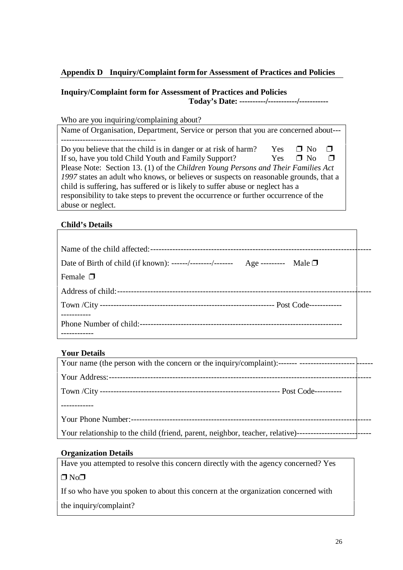## **Appendix D Inquiry/Complaint form for Assessment of Practices and Policies**

## **Inquiry/Complaint form for Assessment of Practices and Policies Today's Date: ----------/-----------/-----------**

| Who are you inquiring/complaining about?                                                  |
|-------------------------------------------------------------------------------------------|
| Name of Organisation, Department, Service or person that you are concerned about---       |
|                                                                                           |
| Do you believe that the child is in danger or at risk of harm?<br><b>Yes</b><br>$\Box$ No |
| If so, have you told Child Youth and Family Support?<br>$\Box$ No<br>Yes.<br>П            |
| Please Note: Section 13. (1) of the Children Young Persons and Their Families Act         |
| 1997 states an adult who knows, or believes or suspects on reasonable grounds, that a     |
| child is suffering, has suffered or is likely to suffer abuse or neglect has a            |
| responsibility to take steps to prevent the occurrence or further occurrence of the       |
| abuse or neglect.                                                                         |

## **Child's Details**

| Date of Birth of child (if known): ------/--------/------- Age --------- Male $\Box$ |  |
|--------------------------------------------------------------------------------------|--|
| Female $\Box$                                                                        |  |
|                                                                                      |  |
|                                                                                      |  |
|                                                                                      |  |

## **Your Details**

## **Organization Details**

Have you attempted to resolve this concern directly with the agency concerned? Yes  $\Box$  No $\Box$ 

If so who have you spoken to about this concern at the organization concerned with

the inquiry/complaint?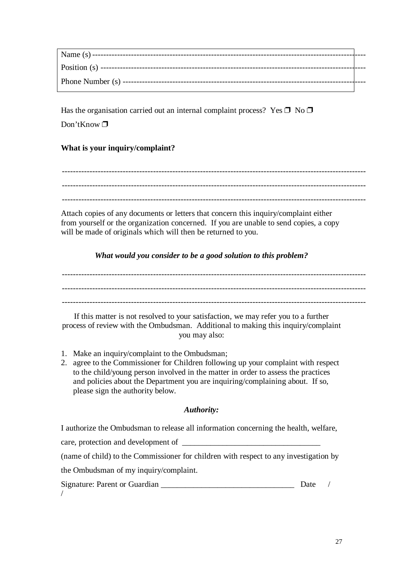| Name $(s)$ -----          |  |
|---------------------------|--|
|                           |  |
| Position $(s)$ -----      |  |
| Phone Number $(s)$ ------ |  |
|                           |  |

Has the organisation carried out an internal complaint process? Yes  $\Box$  No  $\Box$ Don'tKnow  $\Box$ 

## **What is your inquiry/complaint?**

-------------------------------------------------------------------------------------------------------------- -------------------------------------------------------------------------------------------------------------- --------------------------------------------------------------------------------------------------------------

Attach copies of any documents or letters that concern this inquiry/complaint either from yourself or the organization concerned. If you are unable to send copies, a copy will be made of originals which will then be returned to you.

*What would you consider to be a good solution to this problem?*

--------------------------------------------------------------------------------------------------------------

If this matter is not resolved to your satisfaction, we may refer you to a further process of review with the Ombudsman. Additional to making this inquiry/complaint you may also:

- 1. Make an inquiry/complaint to the Ombudsman;
- 2. agree to the Commissioner for Children following up your complaint with respect to the child/young person involved in the matter in order to assess the practices and policies about the Department you are inquiring/complaining about. If so, please sign the authority below.

## *Authority:*

I authorize the Ombudsman to release all information concerning the health, welfare,

care, protection and development of \_\_\_\_\_\_\_\_\_\_\_\_\_\_\_\_\_\_\_\_\_\_\_\_\_\_\_\_\_\_\_\_\_\_

(name of child) to the Commissioner for children with respect to any investigation by

the Ombudsman of my inquiry/complaint.

Signature: Parent or Guardian and Date /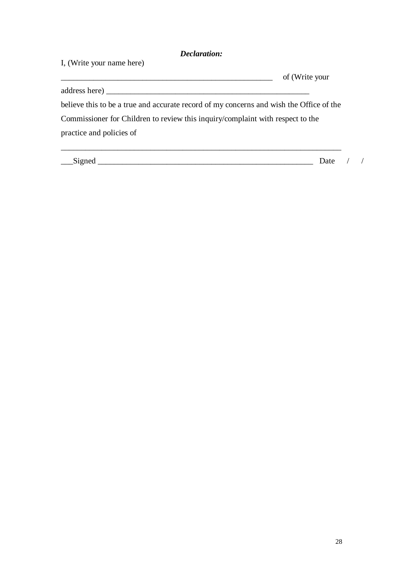## *Declaration:*

| I, (Write your name here)                                                               |                |  |
|-----------------------------------------------------------------------------------------|----------------|--|
|                                                                                         | of (Write your |  |
|                                                                                         |                |  |
| believe this to be a true and accurate record of my concerns and wish the Office of the |                |  |
| Commissioner for Children to review this inquiry/complaint with respect to the          |                |  |
| practice and policies of                                                                |                |  |
|                                                                                         |                |  |
| __Signed                                                                                | Date           |  |

28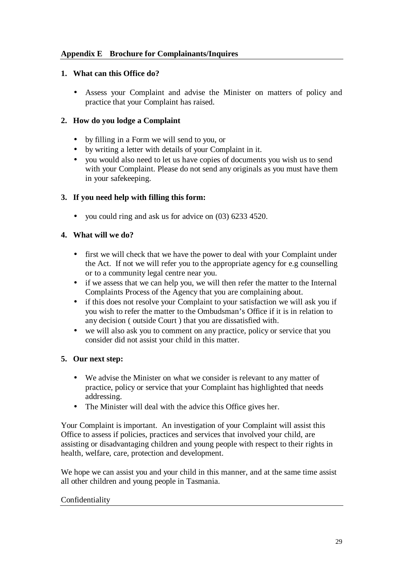## **Appendix E Brochure for Complainants/Inquires**

## **1. What can this Office do?**

• Assess your Complaint and advise the Minister on matters of policy and practice that your Complaint has raised.

## **2. How do you lodge a Complaint**

- by filling in a Form we will send to you, or
- by writing a letter with details of your Complaint in it.
- vou would also need to let us have copies of documents you wish us to send with your Complaint. Please do not send any originals as you must have them in your safekeeping.

## **3. If you need help with filling this form:**

• you could ring and ask us for advice on (03) 6233 4520.

## **4. What will we do?**

- first we will check that we have the power to deal with your Complaint under the Act. If not we will refer you to the appropriate agency for e.g counselling or to a community legal centre near you.
- if we assess that we can help you, we will then refer the matter to the Internal Complaints Process of the Agency that you are complaining about.
- if this does not resolve your Complaint to your satisfaction we will ask you if you wish to refer the matter to the Ombudsman's Office if it is in relation to any decision ( outside Court ) that you are dissatisfied with.
- we will also ask you to comment on any practice, policy or service that you consider did not assist your child in this matter.

## **5. Our next step:**

- We advise the Minister on what we consider is relevant to any matter of practice, policy or service that your Complaint has highlighted that needs addressing.
- The Minister will deal with the advice this Office gives her.

Your Complaint is important. An investigation of your Complaint will assist this Office to assess if policies, practices and services that involved your child, are assisting or disadvantaging children and young people with respect to their rights in health, welfare, care, protection and development.

We hope we can assist you and your child in this manner, and at the same time assist all other children and young people in Tasmania.

## Confidentiality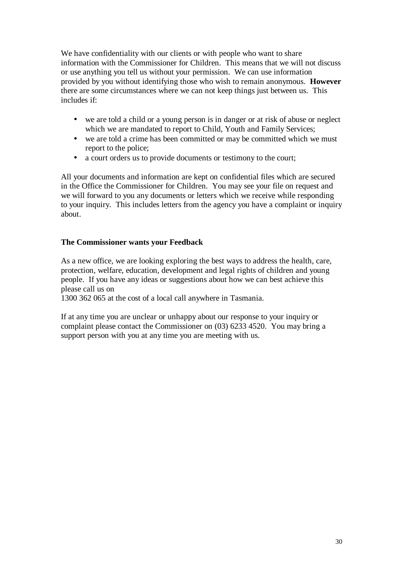We have confidentiality with our clients or with people who want to share information with the Commissioner for Children. This means that we will not discuss or use anything you tell us without your permission. We can use information provided by you without identifying those who wish to remain anonymous. **However** there are some circumstances where we can not keep things just between us. This includes if:

- we are told a child or a young person is in danger or at risk of abuse or neglect which we are mandated to report to Child, Youth and Family Services;
- we are told a crime has been committed or may be committed which we must report to the police;
- a court orders us to provide documents or testimony to the court;

All your documents and information are kept on confidential files which are secured in the Office the Commissioner for Children. You may see your file on request and we will forward to you any documents or letters which we receive while responding to your inquiry. This includes letters from the agency you have a complaint or inquiry about.

## **The Commissioner wants your Feedback**

As a new office, we are looking exploring the best ways to address the health, care, protection, welfare, education, development and legal rights of children and young people. If you have any ideas or suggestions about how we can best achieve this please call us on

1300 362 065 at the cost of a local call anywhere in Tasmania.

If at any time you are unclear or unhappy about our response to your inquiry or complaint please contact the Commissioner on (03) 6233 4520. You may bring a support person with you at any time you are meeting with us.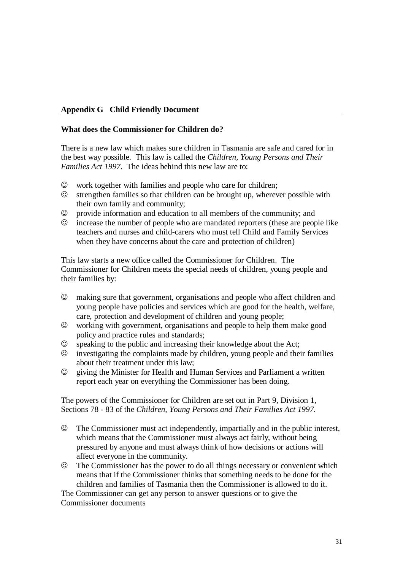## **Appendix G Child Friendly Document**

#### **What does the Commissioner for Children do?**

There is a new law which makes sure children in Tasmania are safe and cared for in the best way possible. This law is called the *Children, Young Persons and Their Families Act 1997.* The ideas behind this new law are to:

- $\odot$  work together with families and people who care for children;
- $\odot$  strengthen families so that children can be brought up, wherever possible with their own family and community;
- $\odot$  provide information and education to all members of the community; and
- $\odot$  increase the number of people who are mandated reporters (these are people like teachers and nurses and child-carers who must tell Child and Family Services when they have concerns about the care and protection of children)

This law starts a new office called the Commissioner for Children. The Commissioner for Children meets the special needs of children, young people and their families by:

- $\odot$  making sure that government, organisations and people who affect children and young people have policies and services which are good for the health, welfare, care, protection and development of children and young people;
- $\odot$  working with government, organisations and people to help them make good policy and practice rules and standards;
- $\odot$  speaking to the public and increasing their knowledge about the Act;
- $\odot$  investigating the complaints made by children, young people and their families about their treatment under this law;
- $\odot$  giving the Minister for Health and Human Services and Parliament a written report each year on everything the Commissioner has been doing.

The powers of the Commissioner for Children are set out in Part 9, Division 1, Sections 78 - 83 of the *Children, Young Persons and Their Families Act 1997.*

- $\odot$  The Commissioner must act independently, impartially and in the public interest, which means that the Commissioner must always act fairly, without being pressured by anyone and must always think of how decisions or actions will affect everyone in the community.
- $\odot$  The Commissioner has the power to do all things necessary or convenient which means that if the Commissioner thinks that something needs to be done for the children and families of Tasmania then the Commissioner is allowed to do it.

The Commissioner can get any person to answer questions or to give the Commissioner documents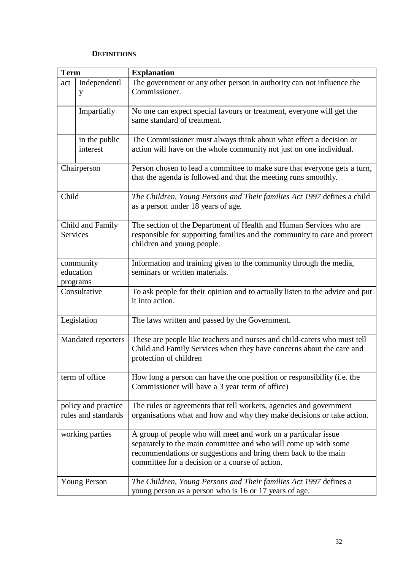#### **DEFINITIONS**

| <b>Term</b>                                |                           | <b>Explanation</b>                                                                                                                                                                                                                                     |  |
|--------------------------------------------|---------------------------|--------------------------------------------------------------------------------------------------------------------------------------------------------------------------------------------------------------------------------------------------------|--|
| act                                        | Independentl<br>у         | The government or any other person in authority can not influence the<br>Commissioner.                                                                                                                                                                 |  |
|                                            | Impartially               | No one can expect special favours or treatment, everyone will get the<br>same standard of treatment.                                                                                                                                                   |  |
|                                            | in the public<br>interest | The Commissioner must always think about what effect a decision or<br>action will have on the whole community not just on one individual.                                                                                                              |  |
|                                            | Chairperson               | Person chosen to lead a committee to make sure that everyone gets a turn,<br>that the agenda is followed and that the meeting runs smoothly.                                                                                                           |  |
| Child                                      |                           | The Children, Young Persons and Their families Act 1997 defines a child<br>as a person under 18 years of age.                                                                                                                                          |  |
| Child and Family<br><b>Services</b>        |                           | The section of the Department of Health and Human Services who are<br>responsible for supporting families and the community to care and protect<br>children and young people.                                                                          |  |
| community<br>education<br>programs         |                           | Information and training given to the community through the media,<br>seminars or written materials.                                                                                                                                                   |  |
| Consultative                               |                           | To ask people for their opinion and to actually listen to the advice and put<br>it into action.                                                                                                                                                        |  |
|                                            | Legislation               | The laws written and passed by the Government.                                                                                                                                                                                                         |  |
| <b>Mandated reporters</b>                  |                           | These are people like teachers and nurses and child-carers who must tell<br>Child and Family Services when they have concerns about the care and<br>protection of children                                                                             |  |
| term of office                             |                           | How long a person can have the one position or responsibility (i.e. the<br>Commissioner will have a 3 year term of office)                                                                                                                             |  |
| policy and practice<br>rules and standards |                           | The rules or agreements that tell workers, agencies and government<br>organisations what and how and why they make decisions or take action.                                                                                                           |  |
| working parties                            |                           | A group of people who will meet and work on a particular issue<br>separately to the main committee and who will come up with some<br>recommendations or suggestions and bring them back to the main<br>committee for a decision or a course of action. |  |
|                                            | <b>Young Person</b>       | The Children, Young Persons and Their families Act 1997 defines a<br>young person as a person who is 16 or 17 years of age.                                                                                                                            |  |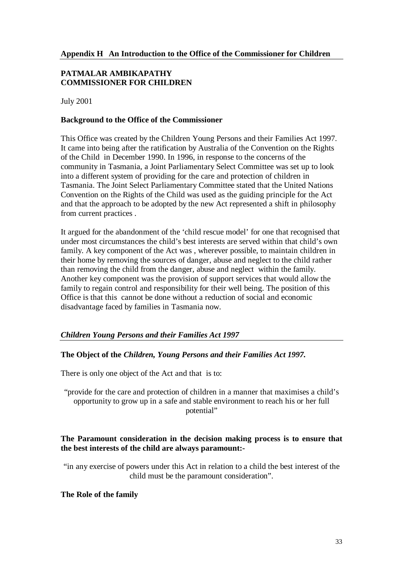## **PATMALAR AMBIKAPATHY COMMISSIONER FOR CHILDREN**

July 2001

#### **Background to the Office of the Commissioner**

This Office was created by the Children Young Persons and their Families Act 1997. It came into being after the ratification by Australia of the Convention on the Rights of the Child in December 1990. In 1996, in response to the concerns of the community in Tasmania, a Joint Parliamentary Select Committee was set up to look into a different system of providing for the care and protection of children in Tasmania. The Joint Select Parliamentary Committee stated that the United Nations Convention on the Rights of the Child was used as the guiding principle for the Act and that the approach to be adopted by the new Act represented a shift in philosophy from current practices .

It argued for the abandonment of the 'child rescue model' for one that recognised that under most circumstances the child's best interests are served within that child's own family. A key component of the Act was , wherever possible, to maintain children in their home by removing the sources of danger, abuse and neglect to the child rather than removing the child from the danger, abuse and neglect within the family. Another key component was the provision of support services that would allow the family to regain control and responsibility for their well being. The position of this Office is that this cannot be done without a reduction of social and economic disadvantage faced by families in Tasmania now.

## *Children Young Persons and their Families Act 1997*

## **The Object of the** *Children, Young Persons and their Families Act 1997.*

There is only one object of the Act and that is to:

"provide for the care and protection of children in a manner that maximises a child's opportunity to grow up in a safe and stable environment to reach his or her full potential"

#### **The Paramount consideration in the decision making process is to ensure that the best interests of the child are always paramount:-**

"in any exercise of powers under this Act in relation to a child the best interest of the child must be the paramount consideration".

#### **The Role of the family**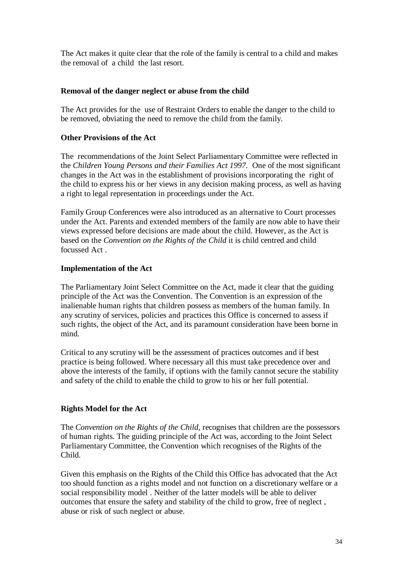The Act makes it quite clear that the role of the family is central to a child and makes the removal of a child the last resort.

## **Removal of the danger neglect or abuse from the child**

The Act provides for the use of Restraint Orders to enable the danger to the child to be removed, obviating the need to remove the child from the family.

## **Other Provisions of the Act**

The recommendations of the Joint Select Parliamentary Committee were reflected in the *Children Young Persons and their Families Act 1997.* One of the most significant changes in the Act was in the establishment of provisions incorporating the right of the child to express his or her views in any decision making process, as well as having a right to legal representation in proceedings under the Act.

Family Group Conferences were also introduced as an alternative to Court processes under the Act. Parents and extended members of the family are now able to have their views expressed before decisions are made about the child. However, as the Act is based on the *Convention on the Rights of the Child* it is child centred and child focussed Act .

#### **Implementation of the Act**

The Parliamentary Joint Select Committee on the Act, made it clear that the guiding principle of the Act was the Convention. The Convention is an expression of the inalienable human rights that children possess as members of the human family. In any scrutiny of services, policies and practices this Office is concerned to assess if such rights, the object of the Act, and its paramount consideration have been borne in mind.

Critical to any scrutiny will be the assessment of practices outcomes and if best practice is being followed. Where necessary all this must take precedence over and above the interests of the family, if options with the family cannot secure the stability and safety of the child to enable the child to grow to his or her full potential.

## **Rights Model for the Act**

The *Convention on the Rights of the Child,* recognises that children are the possessors of human rights. The guiding principle of the Act was, according to the Joint Select Parliamentary Committee, the Convention which recognises of the Rights of the Child.

Given this emphasis on the Rights of the Child this Office has advocated that the Act too should function as a rights model and not function on a discretionary welfare or a social responsibility model . Neither of the latter models will be able to deliver outcomes that ensure the safety and stability of the child to grow, free of neglect , abuse or risk of such neglect or abuse.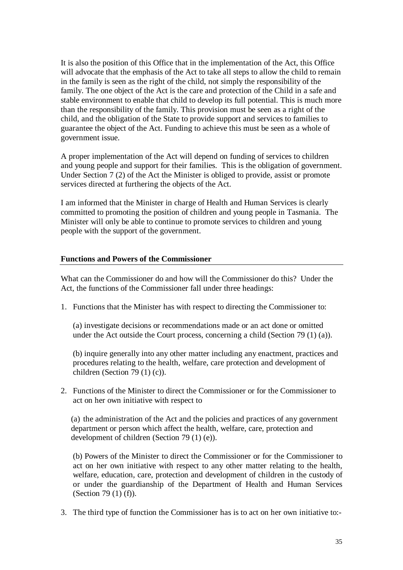It is also the position of this Office that in the implementation of the Act, this Office will advocate that the emphasis of the Act to take all steps to allow the child to remain in the family is seen as the right of the child, not simply the responsibility of the family. The one object of the Act is the care and protection of the Child in a safe and stable environment to enable that child to develop its full potential. This is much more than the responsibility of the family. This provision must be seen as a right of the child, and the obligation of the State to provide support and services to families to guarantee the object of the Act. Funding to achieve this must be seen as a whole of government issue.

A proper implementation of the Act will depend on funding of services to children and young people and support for their families. This is the obligation of government. Under Section 7 (2) of the Act the Minister is obliged to provide, assist or promote services directed at furthering the objects of the Act.

I am informed that the Minister in charge of Health and Human Services is clearly committed to promoting the position of children and young people in Tasmania. The Minister will only be able to continue to promote services to children and young people with the support of the government.

#### **Functions and Powers of the Commissioner**

What can the Commissioner do and how will the Commissioner do this? Under the Act, the functions of the Commissioner fall under three headings:

1. Functions that the Minister has with respect to directing the Commissioner to:

(a) investigate decisions or recommendations made or an act done or omitted under the Act outside the Court process, concerning a child (Section 79  $(1)$  (a)).

(b) inquire generally into any other matter including any enactment, practices and procedures relating to the health, welfare, care protection and development of children (Section 79 (1) (c)).

2. Functions of the Minister to direct the Commissioner or for the Commissioner to act on her own initiative with respect to

(a) the administration of the Act and the policies and practices of any government department or person which affect the health, welfare, care, protection and development of children (Section 79 (1) (e)).

(b) Powers of the Minister to direct the Commissioner or for the Commissioner to act on her own initiative with respect to any other matter relating to the health, welfare, education, care, protection and development of children in the custody of or under the guardianship of the Department of Health and Human Services (Section 79 (1) (f)).

3. The third type of function the Commissioner has is to act on her own initiative to:-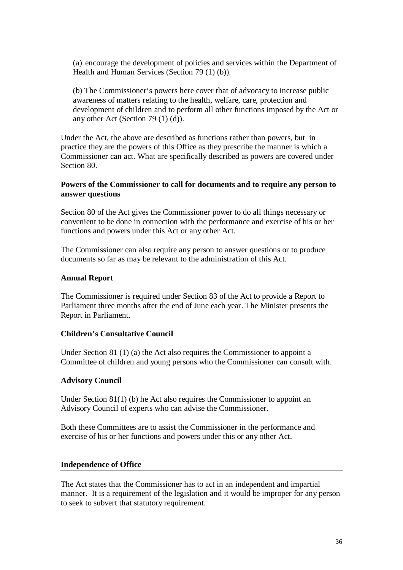(a) encourage the development of policies and services within the Department of Health and Human Services (Section 79 (1) (b)).

(b) The Commissioner's powers here cover that of advocacy to increase public awareness of matters relating to the health, welfare, care, protection and development of children and to perform all other functions imposed by the Act or any other Act (Section 79 (1) (d)).

Under the Act, the above are described as functions rather than powers, but in practice they are the powers of this Office as they prescribe the manner is which a Commissioner can act. What are specifically described as powers are covered under Section 80.

#### **Powers of the Commissioner to call for documents and to require any person to answer questions**

Section 80 of the Act gives the Commissioner power to do all things necessary or convenient to be done in connection with the performance and exercise of his or her functions and powers under this Act or any other Act.

The Commissioner can also require any person to answer questions or to produce documents so far as may be relevant to the administration of this Act.

#### **Annual Report**

The Commissioner is required under Section 83 of the Act to provide a Report to Parliament three months after the end of June each year. The Minister presents the Report in Parliament.

#### **Children's Consultative Council**

Under Section 81 (1) (a) the Act also requires the Commissioner to appoint a Committee of children and young persons who the Commissioner can consult with.

#### **Advisory Council**

Under Section 81(1) (b) he Act also requires the Commissioner to appoint an Advisory Council of experts who can advise the Commissioner.

Both these Committees are to assist the Commissioner in the performance and exercise of his or her functions and powers under this or any other Act.

#### **Independence of Office**

The Act states that the Commissioner has to act in an independent and impartial manner. It is a requirement of the legislation and it would be improper for any person to seek to subvert that statutory requirement.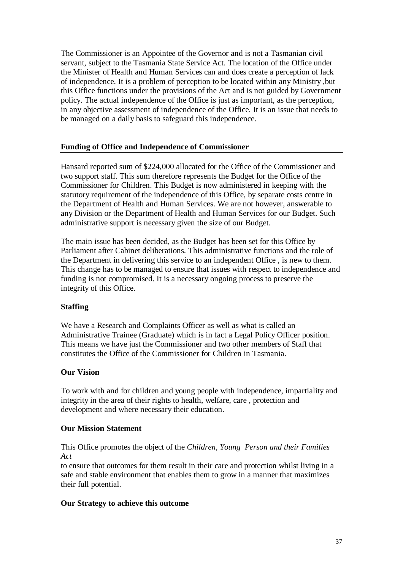The Commissioner is an Appointee of the Governor and is not a Tasmanian civil servant, subject to the Tasmania State Service Act. The location of the Office under the Minister of Health and Human Services can and does create a perception of lack of independence. It is a problem of perception to be located within any Ministry ,but this Office functions under the provisions of the Act and is not guided by Government policy. The actual independence of the Office is just as important, as the perception, in any objective assessment of independence of the Office. It is an issue that needs to be managed on a daily basis to safeguard this independence.

#### **Funding of Office and Independence of Commissioner**

Hansard reported sum of \$224,000 allocated for the Office of the Commissioner and two support staff. This sum therefore represents the Budget for the Office of the Commissioner for Children. This Budget is now administered in keeping with the statutory requirement of the independence of this Office, by separate costs centre in the Department of Health and Human Services. We are not however, answerable to any Division or the Department of Health and Human Services for our Budget. Such administrative support is necessary given the size of our Budget.

The main issue has been decided, as the Budget has been set for this Office by Parliament after Cabinet deliberations. This administrative functions and the role of the Department in delivering this service to an independent Office , is new to them. This change has to be managed to ensure that issues with respect to independence and funding is not compromised. It is a necessary ongoing process to preserve the integrity of this Office.

#### **Staffing**

We have a Research and Complaints Officer as well as what is called an Administrative Trainee (Graduate) which is in fact a Legal Policy Officer position. This means we have just the Commissioner and two other members of Staff that constitutes the Office of the Commissioner for Children in Tasmania.

#### **Our Vision**

To work with and for children and young people with independence, impartiality and integrity in the area of their rights to health, welfare, care , protection and development and where necessary their education.

#### **Our Mission Statement**

This Office promotes the object of the *Children, Young Person and their Families Act*

to ensure that outcomes for them result in their care and protection whilst living in a safe and stable environment that enables them to grow in a manner that maximizes their full potential.

#### **Our Strategy to achieve this outcome**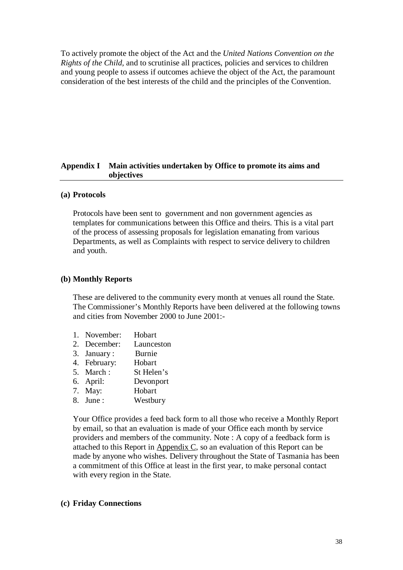To actively promote the object of the Act and the *United Nations Convention on the Rights of the Child,* and to scrutinise all practices, policies and services to children and young people to assess if outcomes achieve the object of the Act, the paramount consideration of the best interests of the child and the principles of the Convention.

#### **Appendix I Main activities undertaken by Office to promote its aims and objectives**

#### **(a) Protocols**

Protocols have been sent to government and non government agencies as templates for communications between this Office and theirs. This is a vital part of the process of assessing proposals for legislation emanating from various Departments, as well as Complaints with respect to service delivery to children and youth.

#### **(b) Monthly Reports**

These are delivered to the community every month at venues all round the State. The Commissioner's Monthly Reports have been delivered at the following towns and cities from November 2000 to June 2001:-

- 1. November: Hobart
- 2. December: Launceston
- 3. January : Burnie
- 4. February: Hobart
- 5. March : St Helen's
- 6. April: Devonport
- 7. May: Hobart
- 8. June : Westbury

Your Office provides a feed back form to all those who receive a Monthly Report by email, so that an evaluation is made of your Office each month by service providers and members of the community. Note : A copy of a feedback form is attached to this Report in Appendix C, so an evaluation of this Report can be made by anyone who wishes. Delivery throughout the State of Tasmania has been a commitment of this Office at least in the first year, to make personal contact with every region in the State.

#### **(c) Friday Connections**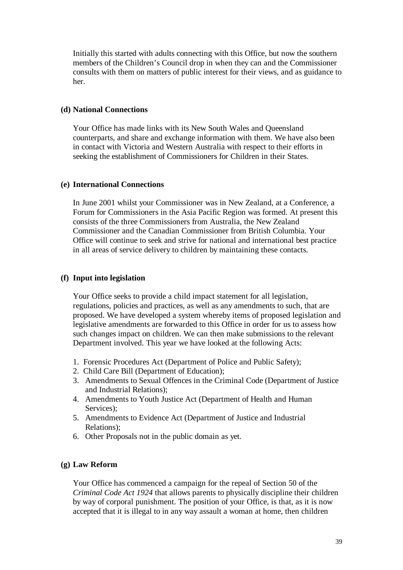Initially this started with adults connecting with this Office, but now the southern members of the Children's Council drop in when they can and the Commissioner consults with them on matters of public interest for their views, and as guidance to her.

#### **(d) National Connections**

Your Office has made links with its New South Wales and Queensland counterparts, and share and exchange information with them. We have also been in contact with Victoria and Western Australia with respect to their efforts in seeking the establishment of Commissioners for Children in their States.

#### **(e) International Connections**

In June 2001 whilst your Commissioner was in New Zealand, at a Conference, a Forum for Commissioners in the Asia Pacific Region was formed. At present this consists of the three Commissioners from Australia, the New Zealand Commissioner and the Canadian Commissioner from British Columbia. Your Office will continue to seek and strive for national and international best practice in all areas of service delivery to children by maintaining these contacts.

#### **(f) Input into legislation**

Your Office seeks to provide a child impact statement for all legislation, regulations, policies and practices, as well as any amendments to such, that are proposed. We have developed a system whereby items of proposed legislation and legislative amendments are forwarded to this Office in order for us to assess how such changes impact on children. We can then make submissions to the relevant Department involved. This year we have looked at the following Acts:

- 1. Forensic Procedures Act (Department of Police and Public Safety);
- 2. Child Care Bill (Department of Education);
- 3. Amendments to Sexual Offences in the Criminal Code (Department of Justice and Industrial Relations);
- 4. Amendments to Youth Justice Act (Department of Health and Human Services);
- 5. Amendments to Evidence Act (Department of Justice and Industrial Relations);
- 6. Other Proposals not in the public domain as yet.

#### **(g) Law Reform**

Your Office has commenced a campaign for the repeal of Section 50 of the *Criminal Code Act 1924* that allows parents to physically discipline their children by way of corporal punishment. The position of your Office, is that, as it is now accepted that it is illegal to in any way assault a woman at home, then children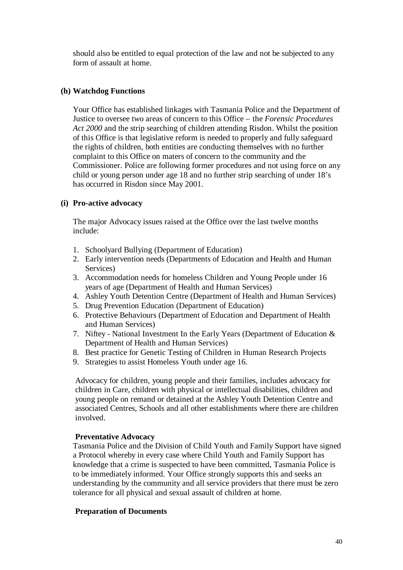should also be entitled to equal protection of the law and not be subjected to any form of assault at home.

#### **(h) Watchdog Functions**

Your Office has established linkages with Tasmania Police and the Department of Justice to oversee two areas of concern to this Office – the *Forensic Procedures Act 2000* and the strip searching of children attending Risdon. Whilst the position of this Office is that legislative reform is needed to properly and fully safeguard the rights of children, both entities are conducting themselves with no further complaint to this Office on maters of concern to the community and the Commissioner. Police are following former procedures and not using force on any child or young person under age 18 and no further strip searching of under 18's has occurred in Risdon since May 2001.

#### **(i) Pro-active advocacy**

The major Advocacy issues raised at the Office over the last twelve months include:

- 1. Schoolyard Bullying (Department of Education)
- 2. Early intervention needs (Departments of Education and Health and Human Services)
- 3. Accommodation needs for homeless Children and Young People under 16 years of age (Department of Health and Human Services)
- 4. Ashley Youth Detention Centre (Department of Health and Human Services)
- 5. Drug Prevention Education (Department of Education)
- 6. Protective Behaviours (Department of Education and Department of Health and Human Services)
- 7. Niftey National Investment In the Early Years (Department of Education & Department of Health and Human Services)
- 8. Best practice for Genetic Testing of Children in Human Research Projects
- 9. Strategies to assist Homeless Youth under age 16.

Advocacy for children, young people and their families, includes advocacy for children in Care, children with physical or intellectual disabilities, children and young people on remand or detained at the Ashley Youth Detention Centre and associated Centres, Schools and all other establishments where there are children involved.

## **Preventative Advocacy**

Tasmania Police and the Division of Child Youth and Family Support have signed a Protocol whereby in every case where Child Youth and Family Support has knowledge that a crime is suspected to have been committed, Tasmania Police is to be immediately informed. Your Office strongly supports this and seeks an understanding by the community and all service providers that there must be zero tolerance for all physical and sexual assault of children at home.

## **Preparation of Documents**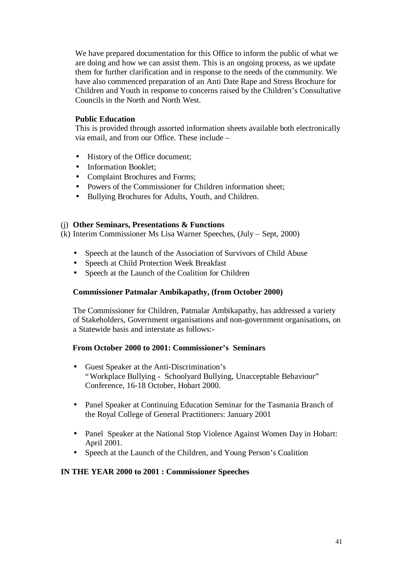We have prepared documentation for this Office to inform the public of what we are doing and how we can assist them. This is an ongoing process, as we update them for further clarification and in response to the needs of the community. We have also commenced preparation of an Anti Date Rape and Stress Brochure for Children and Youth in response to concerns raised by the Children's Consultative Councils in the North and North West.

#### **Public Education**

This is provided through assorted information sheets available both electronically via email, and from our Office. These include –

- History of the Office document;
- Information Booklet;
- Complaint Brochures and Forms:
- Powers of the Commissioner for Children information sheet;
- Bullying Brochures for Adults, Youth, and Children.

#### (j) **Other Seminars, Presentations & Functions**

(k) Interim Commissioner Ms Lisa Warner Speeches, (July – Sept, 2000)

- Speech at the launch of the Association of Survivors of Child Abuse
- Speech at Child Protection Week Breakfast
- Speech at the Launch of the Coalition for Children

## **Commissioner Patmalar Ambikapathy, (from October 2000)**

The Commissioner for Children, Patmalar Ambikapathy, has addressed a variety of Stakeholders, Government organisations and non-government organisations, on a Statewide basis and interstate as follows:-

## **From October 2000 to 2001: Commissioner's Seminars**

- Guest Speaker at the Anti-Discrimination's "Workplace Bullying - Schoolyard Bullying, Unacceptable Behaviour" Conference, 16-18 October, Hobart 2000.
- Panel Speaker at Continuing Education Seminar for the Tasmania Branch of the Royal College of General Practitioners: January 2001
- Panel Speaker at the National Stop Violence Against Women Day in Hobart: April 2001.
- Speech at the Launch of the Children, and Young Person's Coalition

#### **IN THE YEAR 2000 to 2001 : Commissioner Speeches**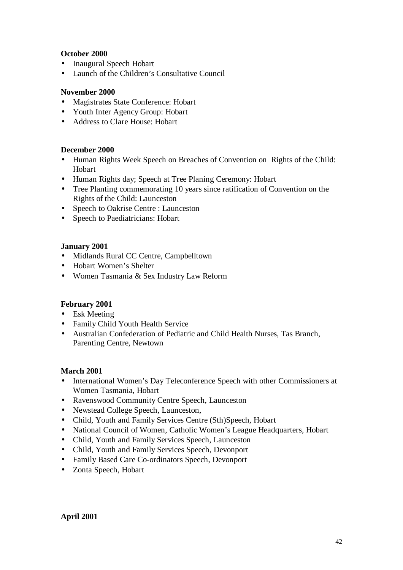## **October 2000**

- Inaugural Speech Hobart
- Launch of the Children's Consultative Council

## **November 2000**

- Magistrates State Conference: Hobart
- Youth Inter Agency Group: Hobart
- Address to Clare House: Hobart

## **December 2000**

- Human Rights Week Speech on Breaches of Convention on Rights of the Child: Hobart
- Human Rights day; Speech at Tree Planing Ceremony: Hobart
- Tree Planting commemorating 10 years since ratification of Convention on the Rights of the Child: Launceston
- Speech to Oakrise Centre : Launceston
- Speech to Paediatricians: Hobart

## **January 2001**

- Midlands Rural CC Centre, Campbelltown
- Hobart Women's Shelter
- Women Tasmania & Sex Industry Law Reform

## **February 2001**

- Esk Meeting
- Family Child Youth Health Service
- Australian Confederation of Pediatric and Child Health Nurses, Tas Branch, Parenting Centre, Newtown

## **March 2001**

- International Women's Day Teleconference Speech with other Commissioners at Women Tasmania, Hobart
- Ravenswood Community Centre Speech, Launceston
- Newstead College Speech, Launceston,
- Child, Youth and Family Services Centre (Sth)Speech, Hobart
- National Council of Women, Catholic Women's League Headquarters, Hobart
- Child, Youth and Family Services Speech, Launceston
- Child, Youth and Family Services Speech, Devonport
- Family Based Care Co-ordinators Speech, Devonport
- Zonta Speech, Hobart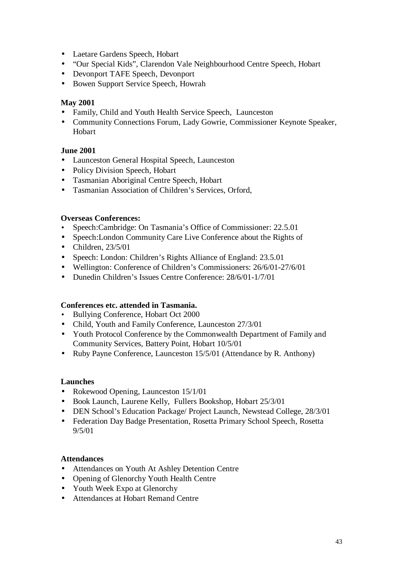- Laetare Gardens Speech, Hobart
- "Our Special Kids", Clarendon Vale Neighbourhood Centre Speech, Hobart
- Devonport TAFE Speech, Devonport
- Bowen Support Service Speech, Howrah

## **May 2001**

- Family, Child and Youth Health Service Speech, Launceston
- Community Connections Forum, Lady Gowrie, Commissioner Keynote Speaker, Hobart

## **June 2001**

- Launceston General Hospital Speech, Launceston
- Policy Division Speech, Hobart
- Tasmanian Aboriginal Centre Speech, Hobart
- Tasmanian Association of Children's Services, Orford,

## **Overseas Conferences:**

- Speech:Cambridge: On Tasmania's Office of Commissioner: 22.5.01
- Speech: London Community Care Live Conference about the Rights of
- $\bullet$  Children, 23/5/01
- Speech: London: Children's Rights Alliance of England: 23.5.01
- Wellington: Conference of Children's Commissioners: 26/6/01-27/6/01
- Dunedin Children's Issues Centre Conference: 28/6/01-1/7/01

## **Conferences etc. attended in Tasmania.**

- Bullying Conference, Hobart Oct 2000
- Child, Youth and Family Conference, Launceston 27/3/01
- Youth Protocol Conference by the Commonwealth Department of Family and Community Services, Battery Point, Hobart 10/5/01
- Ruby Payne Conference, Launceston 15/5/01 (Attendance by R. Anthony)

## **Launches**

- Rokewood Opening, Launceston 15/1/01
- Book Launch, Laurene Kelly, Fullers Bookshop, Hobart 25/3/01
- DEN School's Education Package/ Project Launch, Newstead College, 28/3/01
- Federation Day Badge Presentation, Rosetta Primary School Speech, Rosetta 9/5/01

## **Attendances**

- Attendances on Youth At Ashley Detention Centre
- Opening of Glenorchy Youth Health Centre
- Youth Week Expo at Glenorchy
- Attendances at Hobart Remand Centre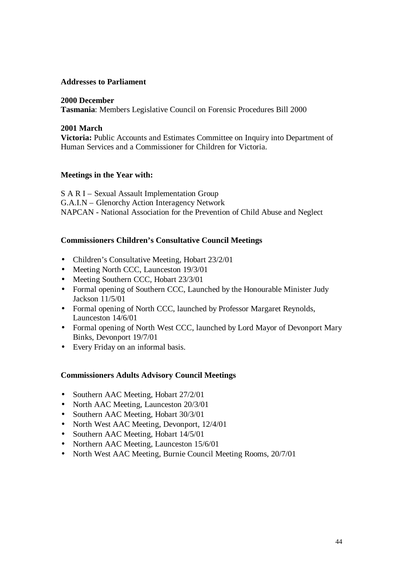#### **Addresses to Parliament**

#### **2000 December**

**Tasmania**: Members Legislative Council on Forensic Procedures Bill 2000

#### **2001 March**

**Victoria:** Public Accounts and Estimates Committee on Inquiry into Department of Human Services and a Commissioner for Children for Victoria.

#### **Meetings in the Year with:**

S A R I – Sexual Assault Implementation Group G.A.I.N – Glenorchy Action Interagency Network NAPCAN - National Association for the Prevention of Child Abuse and Neglect

#### **Commissioners Children's Consultative Council Meetings**

- Children's Consultative Meeting, Hobart 23/2/01
- Meeting North CCC, Launceston 19/3/01
- Meeting Southern CCC, Hobart 23/3/01
- Formal opening of Southern CCC, Launched by the Honourable Minister Judy Jackson 11/5/01
- Formal opening of North CCC, launched by Professor Margaret Reynolds, Launceston 14/6/01
- Formal opening of North West CCC, launched by Lord Mayor of Devonport Mary Binks, Devonport 19/7/01
- Every Friday on an informal basis.

#### **Commissioners Adults Advisory Council Meetings**

- Southern AAC Meeting, Hobart 27/2/01
- North AAC Meeting, Launceston 20/3/01
- Southern AAC Meeting, Hobart 30/3/01
- North West AAC Meeting, Devonport, 12/4/01
- Southern AAC Meeting, Hobart 14/5/01
- Northern AAC Meeting, Launceston 15/6/01
- North West AAC Meeting, Burnie Council Meeting Rooms, 20/7/01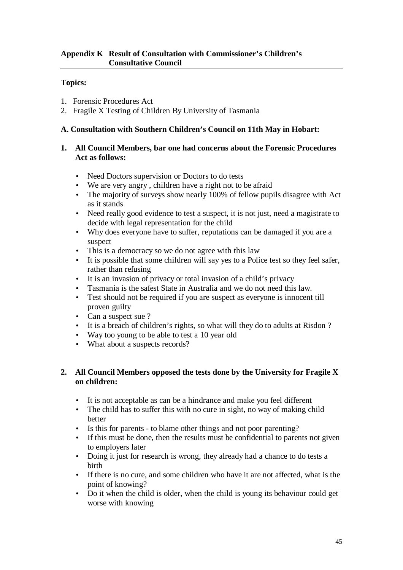## **Topics:**

- 1. Forensic Procedures Act
- 2. Fragile X Testing of Children By University of Tasmania

## **A. Consultation with Southern Children's Council on 11th May in Hobart:**

## **1. All Council Members, bar one had concerns about the Forensic Procedures Act as follows:**

- Need Doctors supervision or Doctors to do tests
- We are very angry , children have a right not to be afraid
- The majority of surveys show nearly 100% of fellow pupils disagree with Act as it stands
- Need really good evidence to test a suspect, it is not just, need a magistrate to decide with legal representation for the child
- Why does everyone have to suffer, reputations can be damaged if you are a suspect
- This is a democracy so we do not agree with this law
- It is possible that some children will say yes to a Police test so they feel safer, rather than refusing
- It is an invasion of privacy or total invasion of a child's privacy
- Tasmania is the safest State in Australia and we do not need this law.
- Test should not be required if you are suspect as everyone is innocent till proven guilty
- Can a suspect sue ?
- It is a breach of children's rights, so what will they do to adults at Risdon?
- Way too young to be able to test a 10 year old
- What about a suspects records?

## **2. All Council Members opposed the tests done by the University for Fragile X on children:**

- It is not acceptable as can be a hindrance and make you feel different
- The child has to suffer this with no cure in sight, no way of making child better
- Is this for parents to blame other things and not poor parenting?
- If this must be done, then the results must be confidential to parents not given to employers later
- Doing it just for research is wrong, they already had a chance to do tests a birth
- If there is no cure, and some children who have it are not affected, what is the point of knowing?
- Do it when the child is older, when the child is young its behaviour could get worse with knowing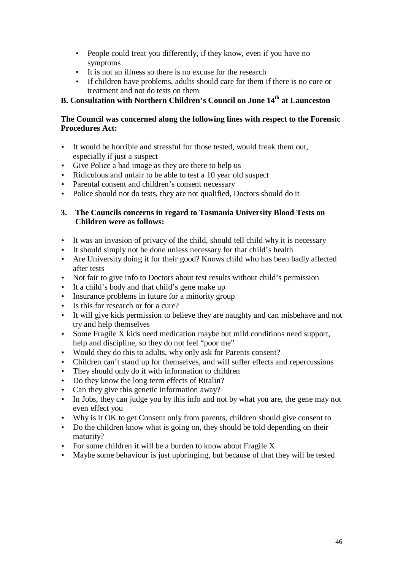- People could treat you differently, if they know, even if you have no symptoms
- It is not an illness so there is no excuse for the research
- If children have problems, adults should care for them if there is no cure or treatment and not do tests on them

## **B. Consultation with Northern Children's Council on June 14th at Launceston**

## **The Council was concerned along the following lines with respect to the Forensic Procedures Act:**

- It would be horrible and stressful for those tested, would freak them out, especially if just a suspect
- Give Police a bad image as they are there to help us
- Ridiculous and unfair to be able to test a 10 year old suspect
- Parental consent and children's consent necessary
- Police should not do tests, they are not qualified, Doctors should do it

## **3. The Councils concerns in regard to Tasmania University Blood Tests on Children were as follows:**

- It was an invasion of privacy of the child, should tell child why it is necessary
- It should simply not be done unless necessary for that child's health
- Are University doing it for their good? Knows child who has been badly affected after tests
- Not fair to give info to Doctors about test results without child's permission
- It a child's body and that child's gene make up
- Insurance problems in future for a minority group
- Is this for research or for a cure?
- It will give kids permission to believe they are naughty and can misbehave and not try and help themselves
- Some Fragile X kids need medication maybe but mild conditions need support, help and discipline, so they do not feel "poor me"
- Would they do this to adults, why only ask for Parents consent?
- Children can't stand up for themselves, and will suffer effects and repercussions
- They should only do it with information to children
- Do they know the long term effects of Ritalin?
- Can they give this genetic information away?
- In Jobs, they can judge you by this info and not by what you are, the gene may not even effect you
- Why is it OK to get Consent only from parents, children should give consent to
- Do the children know what is going on, they should be told depending on their maturity?
- For some children it will be a burden to know about Fragile X
- Maybe some behaviour is just upbringing, but because of that they will be tested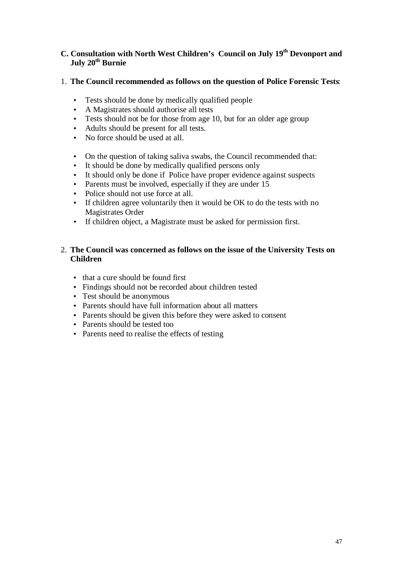## **C. Consultation with North West Children's Council on July 19th Devonport and July 20th Burnie**

## 1. **The Council recommended as follows on the question of Police Forensic Tests**:

- Tests should be done by medically qualified people
- A Magistrates should authorise all tests
- Tests should not be for those from age 10, but for an older age group
- Adults should be present for all tests.
- No force should be used at all.
- On the question of taking saliva swabs, the Council recommended that:
- It should be done by medically qualified persons only
- It should only be done if Police have proper evidence against suspects
- Parents must be involved, especially if they are under 15
- Police should not use force at all.
- If children agree voluntarily then it would be OK to do the tests with no Magistrates Order
- If children object, a Magistrate must be asked for permission first.

## 2. **The Council was concerned as follows on the issue of the University Tests on Children**

- that a cure should be found first
- Findings should not be recorded about children tested
- Test should be anonymous
- Parents should have full information about all matters
- Parents should be given this before they were asked to consent
- Parents should be tested too
- Parents need to realise the effects of testing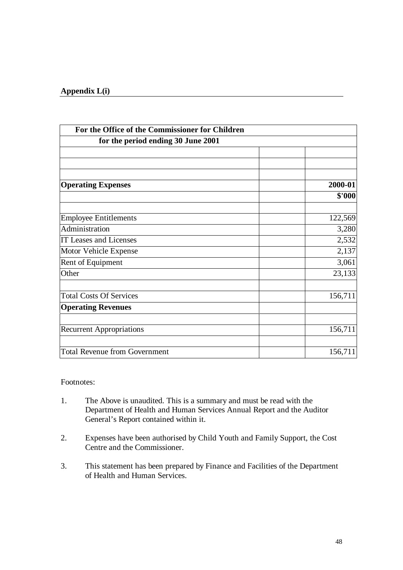#### **Appendix L(i)**

| For the Office of the Commissioner for Children<br>for the period ending 30 June 2001 |         |  |  |  |
|---------------------------------------------------------------------------------------|---------|--|--|--|
|                                                                                       |         |  |  |  |
|                                                                                       |         |  |  |  |
|                                                                                       |         |  |  |  |
| <b>Operating Expenses</b>                                                             | 2000-01 |  |  |  |
|                                                                                       | \$'000  |  |  |  |
| <b>Employee Entitlements</b>                                                          | 122,569 |  |  |  |
| Administration                                                                        | 3,280   |  |  |  |
| IT Leases and Licenses                                                                | 2,532   |  |  |  |
| Motor Vehicle Expense                                                                 | 2,137   |  |  |  |
| Rent of Equipment                                                                     | 3,061   |  |  |  |
| Other                                                                                 | 23,133  |  |  |  |
| <b>Total Costs Of Services</b>                                                        | 156,711 |  |  |  |
| <b>Operating Revenues</b>                                                             |         |  |  |  |
| <b>Recurrent Appropriations</b>                                                       | 156,711 |  |  |  |
|                                                                                       |         |  |  |  |
| <b>Total Revenue from Government</b>                                                  | 156,711 |  |  |  |

Footnotes:

- 1. The Above is unaudited. This is a summary and must be read with the Department of Health and Human Services Annual Report and the Auditor General's Report contained within it.
- 2. Expenses have been authorised by Child Youth and Family Support, the Cost Centre and the Commissioner.
- 3. This statement has been prepared by Finance and Facilities of the Department of Health and Human Services.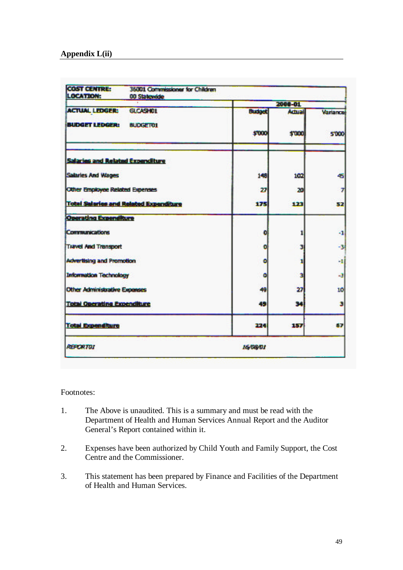| <b>COST CENTRE:</b><br><b>LOCATION:</b>       | 36001 Commissioner for Children<br>00 Statewide |               |         |                 |  |
|-----------------------------------------------|-------------------------------------------------|---------------|---------|-----------------|--|
| <b>ACTUAL LEDGERS</b>                         |                                                 |               | 2008-01 |                 |  |
|                                               | <b>GLCASHOL</b>                                 | <b>Budget</b> | Actual  | <b>Variance</b> |  |
| <b>BUDGET LEDGER!</b>                         | <b>BUDGETOR</b>                                 | \$7000        | \$7000  | <b>STOP</b>     |  |
| <b>Salaries and Related Expenditure</b>       |                                                 |               |         |                 |  |
| Salaries And Wages                            |                                                 | 148           | 182     | 45              |  |
| Other Employee Related Expenses               |                                                 | 27            | 20      | $\overline{r}$  |  |
| <b>Total Salaries and Related Expenditure</b> |                                                 | 175           | 123     | SP.             |  |
| <b>Operating Expenditure</b>                  |                                                 |               |         |                 |  |
| <b>Communications</b>                         |                                                 | ō             | 1       | $-1$            |  |
| <b>Travel And Transport</b>                   |                                                 | a             | 3       | -3              |  |
| <b>Advertising and Promotion</b>              |                                                 | ō             | 1       | мI              |  |
| <b>Information Technology</b>                 |                                                 | ō             | ä       | 43              |  |
| <b>Other Administrative Exponses</b>          |                                                 | 49            | 27      | 10              |  |
| <b>Total Operating Expenditure</b>            |                                                 | 49            | 34      | э               |  |
| <b>Total Expenditure</b>                      |                                                 | 222           | 1 W 7   | 127             |  |
| <b>REPORTOR</b>                               |                                                 | 16/08/01      |         |                 |  |

#### Footnotes:

- 1. The Above is unaudited. This is a summary and must be read with the Department of Health and Human Services Annual Report and the Auditor General's Report contained within it.
- 2. Expenses have been authorized by Child Youth and Family Support, the Cost Centre and the Commissioner.
- 3. This statement has been prepared by Finance and Facilities of the Department of Health and Human Services.